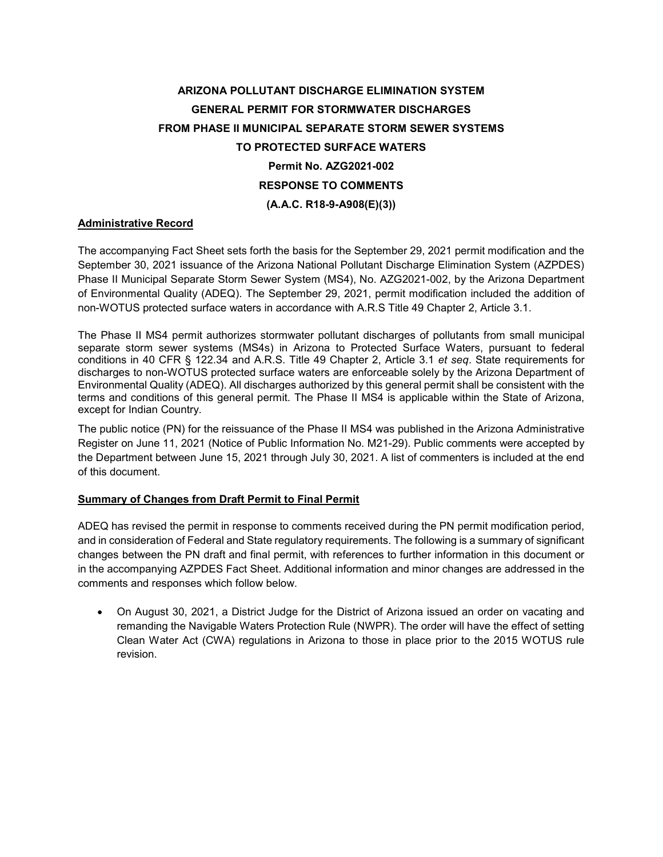# **ARIZONA POLLUTANT DISCHARGE ELIMINATION SYSTEM GENERAL PERMIT FOR STORMWATER DISCHARGES FROM PHASE II MUNICIPAL SEPARATE STORM SEWER SYSTEMS TO PROTECTED SURFACE WATERS Permit No. AZG2021-002 RESPONSE TO COMMENTS (A.A.C. R18-9-A908(E)(3))**

## **Administrative Record**

The accompanying Fact Sheet sets forth the basis for the September 29, 2021 permit modification and the September 30, 2021 issuance of the Arizona National Pollutant Discharge Elimination System (AZPDES) Phase II Municipal Separate Storm Sewer System (MS4), No. AZG2021-002, by the Arizona Department of Environmental Quality (ADEQ). The September 29, 2021, permit modification included the addition of non-WOTUS protected surface waters in accordance with A.R.S Title 49 Chapter 2, Article 3.1.

The Phase II MS4 permit authorizes stormwater pollutant discharges of pollutants from small municipal separate storm sewer systems (MS4s) in Arizona to Protected Surface Waters, pursuant to federal conditions in 40 CFR § 122.34 and A.R.S. Title 49 Chapter 2, Article 3.1 *et seq*. State requirements for discharges to non-WOTUS protected surface waters are enforceable solely by the Arizona Department of Environmental Quality (ADEQ). All discharges authorized by this general permit shall be consistent with the terms and conditions of this general permit. The Phase II MS4 is applicable within the State of Arizona, except for Indian Country.

The public notice (PN) for the reissuance of the Phase II MS4 was published in the Arizona Administrative Register on June 11, 2021 (Notice of Public Information No. M21-29). Public comments were accepted by the Department between June 15, 2021 through July 30, 2021. A list of commenters is included at the end of this document.

## **Summary of Changes from Draft Permit to Final Permit**

ADEQ has revised the permit in response to comments received during the PN permit modification period, and in consideration of Federal and State regulatory requirements. The following is a summary of significant changes between the PN draft and final permit, with references to further information in this document or in the accompanying AZPDES Fact Sheet. Additional information and minor changes are addressed in the comments and responses which follow below.

• On August 30, 2021, a District Judge for the District of Arizona issued an order on vacating and remanding the Navigable Waters Protection Rule (NWPR). The order will have the effect of setting Clean Water Act (CWA) regulations in Arizona to those in place prior to the 2015 WOTUS rule revision.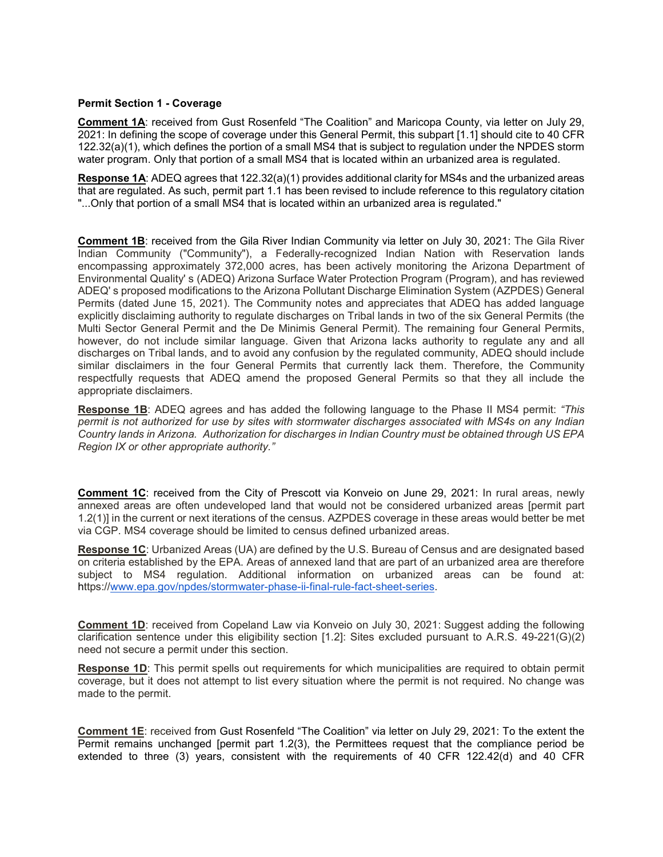#### **Permit Section 1 - Coverage**

**Comment 1A**: received from Gust Rosenfeld "The Coalition" and Maricopa County, via letter on July 29, 2021: In defining the scope of coverage under this General Permit, this subpart [1.1] should cite to 40 CFR 122.32(a)(1), which defines the portion of a small MS4 that is subject to regulation under the NPDES storm water program. Only that portion of a small MS4 that is located within an urbanized area is regulated.

**Response 1A**: ADEQ agrees that 122.32(a)(1) provides additional clarity for MS4s and the urbanized areas that are regulated. As such, permit part 1.1 has been revised to include reference to this regulatory citation "...Only that portion of a small MS4 that is located within an urbanized area is regulated."

**Comment 1B**: received from the Gila River Indian Community via letter on July 30, 2021: The Gila River Indian Community ("Community"), a Federally-recognized Indian Nation with Reservation lands encompassing approximately 372,000 acres, has been actively monitoring the Arizona Department of Environmental Quality' s (ADEQ) Arizona Surface Water Protection Program (Program), and has reviewed ADEQ' s proposed modifications to the Arizona Pollutant Discharge Elimination System (AZPDES) General Permits (dated June 15, 2021). The Community notes and appreciates that ADEQ has added language explicitly disclaiming authority to regulate discharges on Tribal lands in two of the six General Permits (the Multi Sector General Permit and the De Minimis General Permit). The remaining four General Permits, however, do not include similar language. Given that Arizona lacks authority to regulate any and all discharges on Tribal lands, and to avoid any confusion by the regulated community, ADEQ should include similar disclaimers in the four General Permits that currently lack them. Therefore, the Community respectfully requests that ADEQ amend the proposed General Permits so that they all include the appropriate disclaimers.

**Response 1B**: ADEQ agrees and has added the following language to the Phase II MS4 permit: *"This permit is not authorized for use by sites with stormwater discharges associated with MS4s on any Indian Country lands in Arizona. Authorization for discharges in Indian Country must be obtained through US EPA Region IX or other appropriate authority."*

**Comment 1C**: received from the City of Prescott via Konveio on June 29, 2021: In rural areas, newly annexed areas are often undeveloped land that would not be considered urbanized areas [permit part 1.2(1)] in the current or next iterations of the census. AZPDES coverage in these areas would better be met via CGP. MS4 coverage should be limited to census defined urbanized areas.

**Response 1C**: Urbanized Areas (UA) are defined by the U.S. Bureau of Census and are designated based on criteria established by the EPA. Areas of annexed land that are part of an urbanized area are therefore subject to MS4 regulation. Additional information on urbanized areas can be found at: https:/[/www.epa.gov/npdes/stormwater-phase-ii-final-rule-fact-sheet-series.](http://www.epa.gov/npdes/stormwater-phase-ii-final-rule-fact-sheet-series)

**Comment 1D**: received from Copeland Law via Konveio on July 30, 2021: Suggest adding the following clarification sentence under this eligibility section [1.2]: Sites excluded pursuant to A.R.S. 49-221(G)(2) need not secure a permit under this section.

**Response 1D**: This permit spells out requirements for which municipalities are required to obtain permit coverage, but it does not attempt to list every situation where the permit is not required. No change was made to the permit.

**Comment 1E**: received from Gust Rosenfeld "The Coalition" via letter on July 29, 2021: To the extent the Permit remains unchanged [permit part 1.2(3), the Permittees request that the compliance period be extended to three (3) years, consistent with the requirements of 40 CFR 122.42(d) and 40 CFR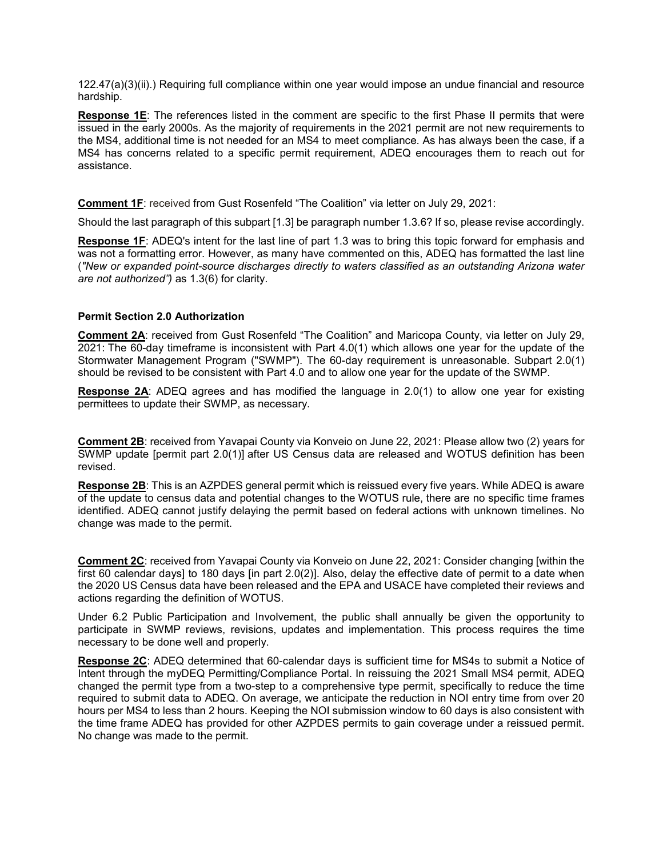122.47(a)(3)(ii).) Requiring full compliance within one year would impose an undue financial and resource hardship.

**Response 1E**: The references listed in the comment are specific to the first Phase II permits that were issued in the early 2000s. As the majority of requirements in the 2021 permit are not new requirements to the MS4, additional time is not needed for an MS4 to meet compliance. As has always been the case, if a MS4 has concerns related to a specific permit requirement, ADEQ encourages them to reach out for assistance.

**Comment 1F**: received from Gust Rosenfeld "The Coalition" via letter on July 29, 2021:

Should the last paragraph of this subpart [1.3] be paragraph number 1.3.6? If so, please revise accordingly.

**Response 1F**: ADEQ's intent for the last line of part 1.3 was to bring this topic forward for emphasis and was not a formatting error. However, as many have commented on this, ADEQ has formatted the last line (*"New or expanded point-source discharges directly to waters classified as an outstanding Arizona water are not authorized")* as 1.3(6) for clarity.

#### **Permit Section 2.0 Authorization**

**Comment 2A**: received from Gust Rosenfeld "The Coalition" and Maricopa County, via letter on July 29, 2021: The 60-day timeframe is inconsistent with Part 4.0(1) which allows one year for the update of the Stormwater Management Program ("SWMP"). The 60-day requirement is unreasonable. Subpart 2.0(1) should be revised to be consistent with Part 4.0 and to allow one year for the update of the SWMP.

**Response 2A**: ADEQ agrees and has modified the language in 2.0(1) to allow one year for existing permittees to update their SWMP, as necessary.

**Comment 2B**: received from Yavapai County via Konveio on June 22, 2021: Please allow two (2) years for SWMP update [permit part 2.0(1)] after US Census data are released and WOTUS definition has been revised.

**Response 2B**: This is an AZPDES general permit which is reissued every five years. While ADEQ is aware of the update to census data and potential changes to the WOTUS rule, there are no specific time frames identified. ADEQ cannot justify delaying the permit based on federal actions with unknown timelines. No change was made to the permit.

**Comment 2C**: received from Yavapai County via Konveio on June 22, 2021: Consider changing [within the first 60 calendar days] to 180 days [in part 2.0(2)]. Also, delay the effective date of permit to a date when the 2020 US Census data have been released and the EPA and USACE have completed their reviews and actions regarding the definition of WOTUS.

Under 6.2 Public Participation and Involvement, the public shall annually be given the opportunity to participate in SWMP reviews, revisions, updates and implementation. This process requires the time necessary to be done well and properly.

**Response 2C**: ADEQ determined that 60-calendar days is sufficient time for MS4s to submit a Notice of Intent through the myDEQ Permitting/Compliance Portal. In reissuing the 2021 Small MS4 permit, ADEQ changed the permit type from a two-step to a comprehensive type permit, specifically to reduce the time required to submit data to ADEQ. On average, we anticipate the reduction in NOI entry time from over 20 hours per MS4 to less than 2 hours. Keeping the NOI submission window to 60 days is also consistent with the time frame ADEQ has provided for other AZPDES permits to gain coverage under a reissued permit. No change was made to the permit.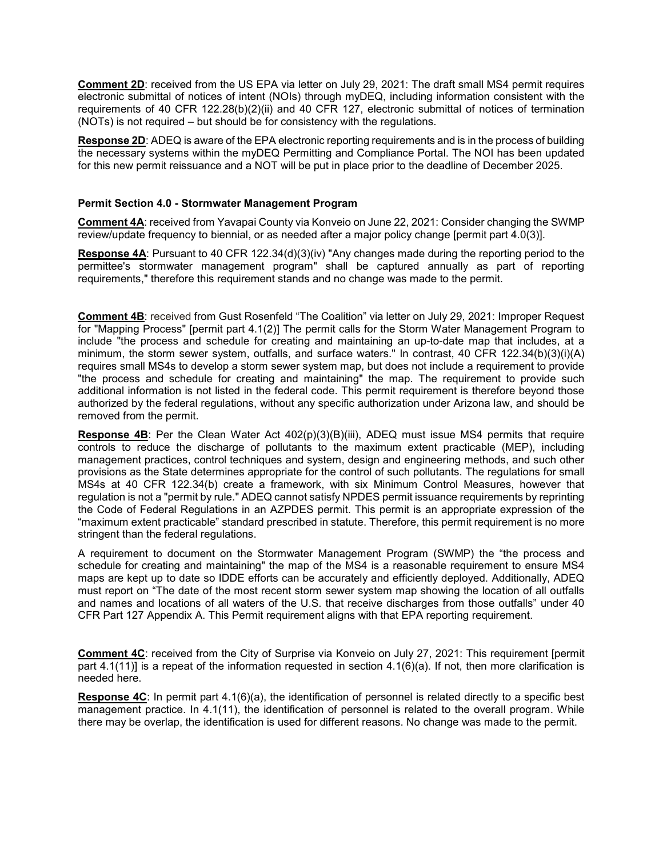**Comment 2D**: received from the US EPA via letter on July 29, 2021: The draft small MS4 permit requires electronic submittal of notices of intent (NOIs) through myDEQ, including information consistent with the requirements of 40 CFR 122.28(b)(2)(ii) and 40 CFR 127, electronic submittal of notices of termination (NOTs) is not required – but should be for consistency with the regulations.

**Response 2D**: ADEQ is aware of the EPA electronic reporting requirements and is in the process of building the necessary systems within the myDEQ Permitting and Compliance Portal. The NOI has been updated for this new permit reissuance and a NOT will be put in place prior to the deadline of December 2025.

#### **Permit Section 4.0 - Stormwater Management Program**

**Comment 4A**: received from Yavapai County via Konveio on June 22, 2021: Consider changing the SWMP review/update frequency to biennial, or as needed after a major policy change [permit part 4.0(3)].

**Response 4A**: Pursuant to 40 CFR 122.34(d)(3)(iv) "Any changes made during the reporting period to the permittee's stormwater management program" shall be captured annually as part of reporting requirements," therefore this requirement stands and no change was made to the permit.

**Comment 4B**: received from Gust Rosenfeld "The Coalition" via letter on July 29, 2021: Improper Request for "Mapping Process" [permit part 4.1(2)] The permit calls for the Storm Water Management Program to include "the process and schedule for creating and maintaining an up-to-date map that includes, at a minimum, the storm sewer system, outfalls, and surface waters." In contrast, 40 CFR 122.34(b)(3)(i)(A) requires small MS4s to develop a storm sewer system map, but does not include a requirement to provide "the process and schedule for creating and maintaining" the map. The requirement to provide such additional information is not listed in the federal code. This permit requirement is therefore beyond those authorized by the federal regulations, without any specific authorization under Arizona law, and should be removed from the permit.

**Response 4B**: Per the Clean Water Act 402(p)(3)(B)(iii), ADEQ must issue MS4 permits that require controls to reduce the discharge of pollutants to the maximum extent practicable (MEP), including management practices, control techniques and system, design and engineering methods, and such other provisions as the State determines appropriate for the control of such pollutants. The regulations for small MS4s at 40 CFR 122.34(b) create a framework, with six Minimum Control Measures, however that regulation is not a "permit by rule." ADEQ cannot satisfy NPDES permit issuance requirements by reprinting the Code of Federal Regulations in an AZPDES permit. This permit is an appropriate expression of the "maximum extent practicable" standard prescribed in statute. Therefore, this permit requirement is no more stringent than the federal regulations.

A requirement to document on the Stormwater Management Program (SWMP) the "the process and schedule for creating and maintaining" the map of the MS4 is a reasonable requirement to ensure MS4 maps are kept up to date so IDDE efforts can be accurately and efficiently deployed. Additionally, ADEQ must report on "The date of the most recent storm sewer system map showing the location of all outfalls and names and locations of all waters of the U.S. that receive discharges from those outfalls" under 40 CFR Part 127 Appendix A. This Permit requirement aligns with that EPA reporting requirement.

**Comment 4C**: received from the City of Surprise via Konveio on July 27, 2021: This requirement [permit part 4.1(11)] is a repeat of the information requested in section 4.1(6)(a). If not, then more clarification is needed here.

**Response 4C**: In permit part 4.1(6)(a), the identification of personnel is related directly to a specific best management practice. In 4.1(11), the identification of personnel is related to the overall program. While there may be overlap, the identification is used for different reasons. No change was made to the permit.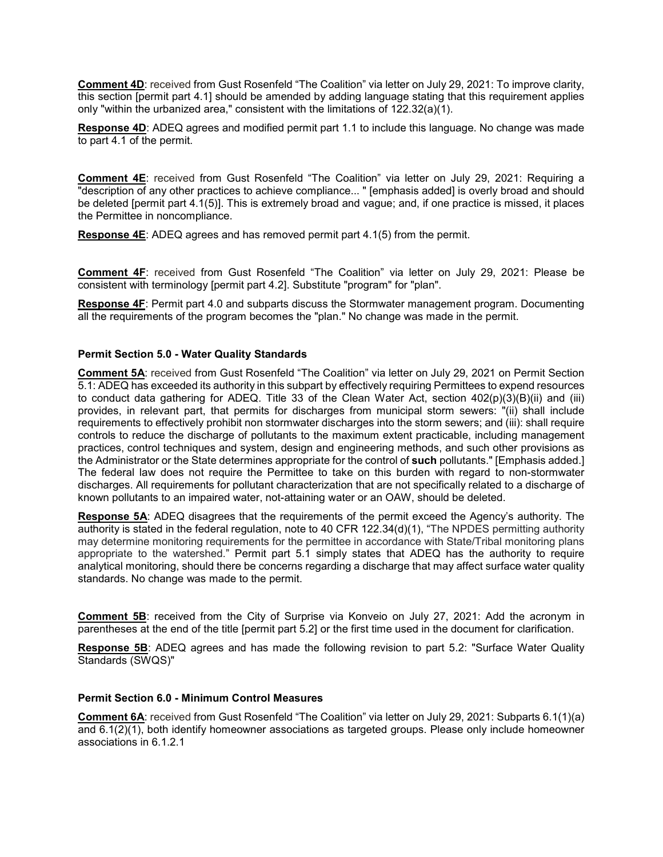**Comment 4D**: received from Gust Rosenfeld "The Coalition" via letter on July 29, 2021: To improve clarity, this section [permit part 4.1] should be amended by adding language stating that this requirement applies only "within the urbanized area," consistent with the limitations of 122.32(a)(1).

**Response 4D**: ADEQ agrees and modified permit part 1.1 to include this language. No change was made to part 4.1 of the permit.

**Comment 4E**: received from Gust Rosenfeld "The Coalition" via letter on July 29, 2021: Requiring a "description of any other practices to achieve compliance... " [emphasis added] is overly broad and should be deleted [permit part 4.1(5)]. This is extremely broad and vague; and, if one practice is missed, it places the Permittee in noncompliance.

**Response 4E**: ADEQ agrees and has removed permit part 4.1(5) from the permit.

**Comment 4F**: received from Gust Rosenfeld "The Coalition" via letter on July 29, 2021: Please be consistent with terminology [permit part 4.2]. Substitute "program" for "plan".

**Response 4F**: Permit part 4.0 and subparts discuss the Stormwater management program. Documenting all the requirements of the program becomes the "plan." No change was made in the permit.

#### **Permit Section 5.0 - Water Quality Standards**

**Comment 5A**: received from Gust Rosenfeld "The Coalition" via letter on July 29, 2021 on Permit Section 5.1: ADEQ has exceeded its authority in this subpart by effectively requiring Permittees to expend resources to conduct data gathering for ADEQ. Title 33 of the Clean Water Act, section 402(p)(3)(B)(ii) and (iii) provides, in relevant part, that permits for discharges from municipal storm sewers: "(ii) shall include requirements to effectively prohibit non stormwater discharges into the storm sewers; and (iii): shall require controls to reduce the discharge of pollutants to the maximum extent practicable, including management practices, control techniques and system, design and engineering methods, and such other provisions as the Administrator or the State determines appropriate for the control of **such** pollutants." [Emphasis added.] The federal law does not require the Permittee to take on this burden with regard to non-stormwater discharges. All requirements for pollutant characterization that are not specifically related to a discharge of known pollutants to an impaired water, not-attaining water or an OAW, should be deleted.

**Response 5A**: ADEQ disagrees that the requirements of the permit exceed the Agency's authority. The authority is stated in the federal regulation, note to 40 CFR 122.34(d)(1), "The NPDES permitting authority may determine monitoring requirements for the permittee in accordance with State/Tribal monitoring plans appropriate to the watershed." Permit part 5.1 simply states that ADEQ has the authority to require analytical monitoring, should there be concerns regarding a discharge that may affect surface water quality standards. No change was made to the permit.

**Comment 5B**: received from the City of Surprise via Konveio on July 27, 2021: Add the acronym in parentheses at the end of the title [permit part 5.2] or the first time used in the document for clarification.

**Response 5B**: ADEQ agrees and has made the following revision to part 5.2: "Surface Water Quality Standards (SWQS)"

#### **Permit Section 6.0 - Minimum Control Measures**

**Comment 6A:** received from Gust Rosenfeld "The Coalition" via letter on July 29, 2021: Subparts 6.1(1)(a) and 6.1(2)(1), both identify homeowner associations as targeted groups. Please only include homeowner associations in 6.1.2.1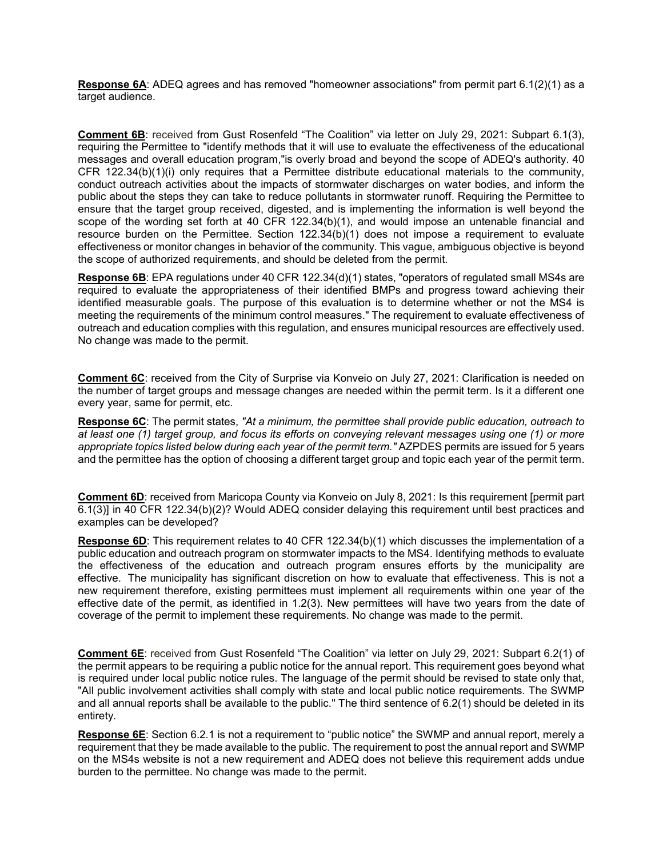**Response 6A**: ADEQ agrees and has removed "homeowner associations" from permit part 6.1(2)(1) as a target audience.

**Comment 6B**: received from Gust Rosenfeld "The Coalition" via letter on July 29, 2021: Subpart 6.1(3), requiring the Permittee to "identify methods that it will use to evaluate the effectiveness of the educational messages and overall education program,"is overly broad and beyond the scope of ADEQ's authority. 40 CFR 122.34(b)(1)(i) only requires that a Permittee distribute educational materials to the community, conduct outreach activities about the impacts of stormwater discharges on water bodies, and inform the public about the steps they can take to reduce pollutants in stormwater runoff. Requiring the Permittee to ensure that the target group received, digested, and is implementing the information is well beyond the scope of the wording set forth at 40 CFR 122.34(b)(1), and would impose an untenable financial and resource burden on the Permittee. Section 122.34(b)(1) does not impose a requirement to evaluate effectiveness or monitor changes in behavior of the community. This vague, ambiguous objective is beyond the scope of authorized requirements, and should be deleted from the permit.

**Response 6B**: EPA regulations under 40 CFR 122.34(d)(1) states, "operators of regulated small MS4s are required to evaluate the appropriateness of their identified BMPs and progress toward achieving their identified measurable goals. The purpose of this evaluation is to determine whether or not the MS4 is meeting the requirements of the minimum control measures." The requirement to evaluate effectiveness of outreach and education complies with this regulation, and ensures municipal resources are effectively used. No change was made to the permit.

**Comment 6C**: received from the City of Surprise via Konveio on July 27, 2021: Clarification is needed on the number of target groups and message changes are needed within the permit term. Is it a different one every year, same for permit, etc.

**Response 6C**: The permit states, *"At a minimum, the permittee shall provide public education, outreach to at least one (1) target group, and focus its efforts on conveying relevant messages using one (1) or more appropriate topics listed below during each year of the permit term."* AZPDES permits are issued for 5 years and the permittee has the option of choosing a different target group and topic each year of the permit term.

**Comment 6D**: received from Maricopa County via Konveio on July 8, 2021: Is this requirement [permit part 6.1(3)] in 40 CFR 122.34(b)(2)? Would ADEQ consider delaying this requirement until best practices and examples can be developed?

**Response 6D**: This requirement relates to 40 CFR 122.34(b)(1) which discusses the implementation of a public education and outreach program on stormwater impacts to the MS4. Identifying methods to evaluate the effectiveness of the education and outreach program ensures efforts by the municipality are effective. The municipality has significant discretion on how to evaluate that effectiveness. This is not a new requirement therefore, existing permittees must implement all requirements within one year of the effective date of the permit, as identified in 1.2(3). New permittees will have two years from the date of coverage of the permit to implement these requirements. No change was made to the permit.

**Comment 6E**: received from Gust Rosenfeld "The Coalition" via letter on July 29, 2021: Subpart 6.2(1) of the permit appears to be requiring a public notice for the annual report. This requirement goes beyond what is required under local public notice rules. The language of the permit should be revised to state only that, "All public involvement activities shall comply with state and local public notice requirements. The SWMP and all annual reports shall be available to the public." The third sentence of 6.2(1) should be deleted in its entirety.

**Response 6E**: Section 6.2.1 is not a requirement to "public notice" the SWMP and annual report, merely a requirement that they be made available to the public. The requirement to post the annual report and SWMP on the MS4s website is not a new requirement and ADEQ does not believe this requirement adds undue burden to the permittee. No change was made to the permit.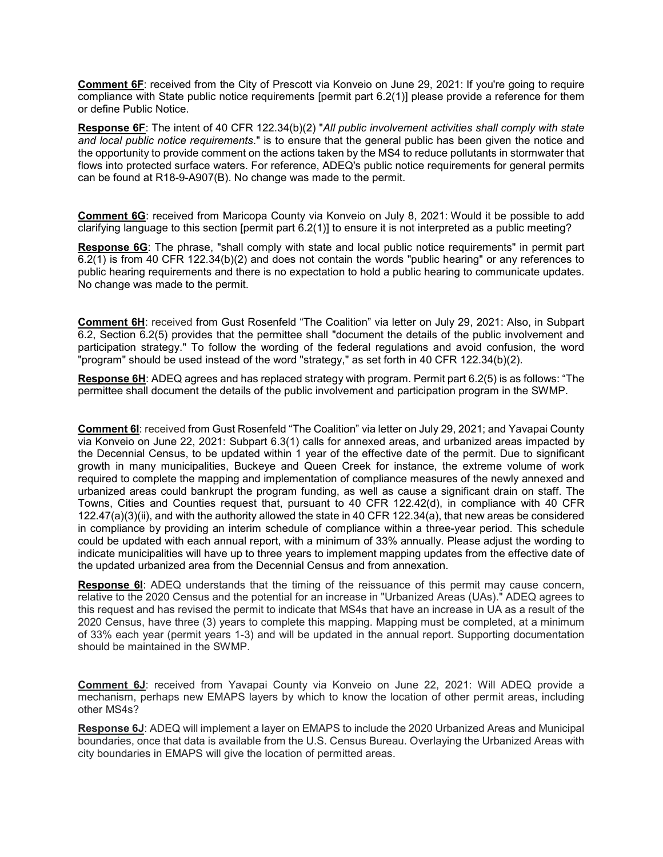**Comment 6F**: received from the City of Prescott via Konveio on June 29, 2021: If you're going to require compliance with State public notice requirements [permit part 6.2(1)] please provide a reference for them or define Public Notice.

**Response 6F**: The intent of 40 CFR 122.34(b)(2) "*All public involvement activities shall comply with state and local public notice requirements*." is to ensure that the general public has been given the notice and the opportunity to provide comment on the actions taken by the MS4 to reduce pollutants in stormwater that flows into protected surface waters. For reference, ADEQ's public notice requirements for general permits can be found at R18-9-A907(B). No change was made to the permit.

**Comment 6G**: received from Maricopa County via Konveio on July 8, 2021: Would it be possible to add clarifying language to this section [permit part 6.2(1)] to ensure it is not interpreted as a public meeting?

**Response 6G**: The phrase, "shall comply with state and local public notice requirements" in permit part 6.2(1) is from 40 CFR 122.34(b)(2) and does not contain the words "public hearing" or any references to public hearing requirements and there is no expectation to hold a public hearing to communicate updates. No change was made to the permit.

**Comment 6H**: received from Gust Rosenfeld "The Coalition" via letter on July 29, 2021: Also, in Subpart 6.2, Section 6.2(5) provides that the permittee shall "document the details of the public involvement and participation strategy." To follow the wording of the federal regulations and avoid confusion, the word "program" should be used instead of the word "strategy," as set forth in 40 CFR 122.34(b)(2).

**Response 6H**: ADEQ agrees and has replaced strategy with program. Permit part 6.2(5) is as follows: "The permittee shall document the details of the public involvement and participation program in the SWMP.

**Comment 6I**: received from Gust Rosenfeld "The Coalition" via letter on July 29, 2021; and Yavapai County via Konveio on June 22, 2021: Subpart 6.3(1) calls for annexed areas, and urbanized areas impacted by the Decennial Census, to be updated within 1 year of the effective date of the permit. Due to significant growth in many municipalities, Buckeye and Queen Creek for instance, the extreme volume of work required to complete the mapping and implementation of compliance measures of the newly annexed and urbanized areas could bankrupt the program funding, as well as cause a significant drain on staff. The Towns, Cities and Counties request that, pursuant to 40 CFR 122.42(d), in compliance with 40 CFR 122.47(a)(3)(ii), and with the authority allowed the state in 40 CFR 122.34(a), that new areas be considered in compliance by providing an interim schedule of compliance within a three-year period. This schedule could be updated with each annual report, with a minimum of 33% annually. Please adjust the wording to indicate municipalities will have up to three years to implement mapping updates from the effective date of the updated urbanized area from the Decennial Census and from annexation.

**Response 6I**: ADEQ understands that the timing of the reissuance of this permit may cause concern, relative to the 2020 Census and the potential for an increase in "Urbanized Areas (UAs)." ADEQ agrees to this request and has revised the permit to indicate that MS4s that have an increase in UA as a result of the 2020 Census, have three (3) years to complete this mapping. Mapping must be completed, at a minimum of 33% each year (permit years 1-3) and will be updated in the annual report. Supporting documentation should be maintained in the SWMP.

**Comment 6J**: received from Yavapai County via Konveio on June 22, 2021: Will ADEQ provide a mechanism, perhaps new EMAPS layers by which to know the location of other permit areas, including other MS4s?

**Response 6J**: ADEQ will implement a layer on EMAPS to include the 2020 Urbanized Areas and Municipal boundaries, once that data is available from the U.S. Census Bureau. Overlaying the Urbanized Areas with city boundaries in EMAPS will give the location of permitted areas.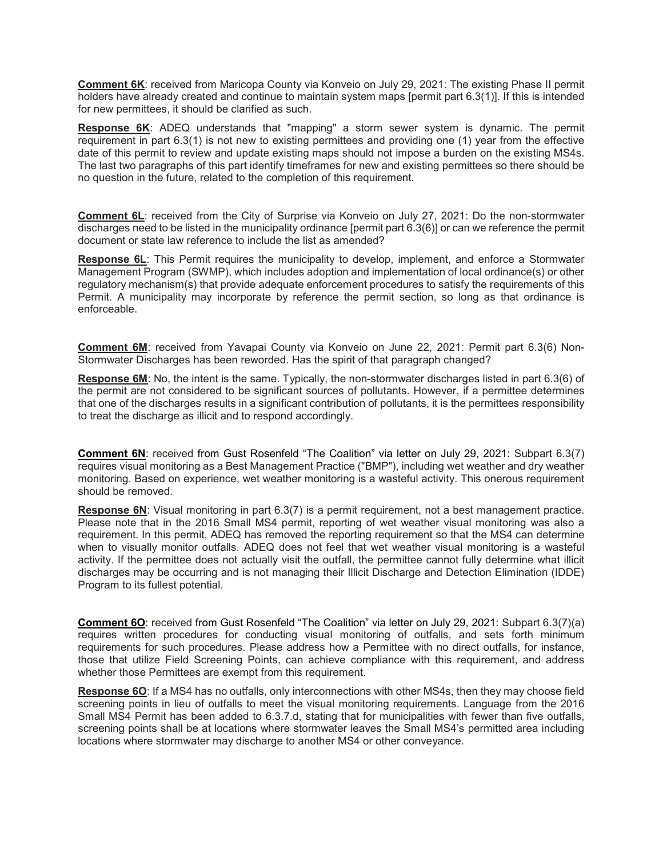**Comment 6K**: received from Maricopa County via Konveio on July 29, 2021: The existing Phase II permit holders have already created and continue to maintain system maps [permit part 6.3(1)]. If this is intended for new permittees, it should be clarified as such.

**Response 6K**: ADEQ understands that "mapping" a storm sewer system is dynamic. The permit requirement in part 6.3(1) is not new to existing permittees and providing one (1) year from the effective date of this permit to review and update existing maps should not impose a burden on the existing MS4s. The last two paragraphs of this part identify timeframes for new and existing permittees so there should be no question in the future, related to the completion of this requirement.

**Comment 6L**: received from the City of Surprise via Konveio on July 27, 2021: Do the non-stormwater discharges need to be listed in the municipality ordinance [permit part 6.3(6)] or can we reference the permit document or state law reference to include the list as amended?

**Response 6L**: This Permit requires the municipality to develop, implement, and enforce a Stormwater Management Program (SWMP), which includes adoption and implementation of local ordinance(s) or other regulatory mechanism(s) that provide adequate enforcement procedures to satisfy the requirements of this Permit. A municipality may incorporate by reference the permit section, so long as that ordinance is enforceable.

**Comment 6M**: received from Yavapai County via Konveio on June 22, 2021: Permit part 6.3(6) Non-Stormwater Discharges has been reworded. Has the spirit of that paragraph changed?

**Response 6M**: No, the intent is the same. Typically, the non-stormwater discharges listed in part 6.3(6) of the permit are not considered to be significant sources of pollutants. However, if a permittee determines that one of the discharges results in a significant contribution of pollutants, it is the permittees responsibility to treat the discharge as illicit and to respond accordingly.

**Comment 6N**: received from Gust Rosenfeld "The Coalition" via letter on July 29, 2021: Subpart 6.3(7) requires visual monitoring as a Best Management Practice ("BMP"), including wet weather and dry weather monitoring. Based on experience, wet weather monitoring is a wasteful activity. This onerous requirement should be removed.

**Response 6N**: Visual monitoring in part 6.3(7) is a permit requirement, not a best management practice. Please note that in the 2016 Small MS4 permit, reporting of wet weather visual monitoring was also a requirement. In this permit, ADEQ has removed the reporting requirement so that the MS4 can determine when to visually monitor outfalls. ADEQ does not feel that wet weather visual monitoring is a wasteful activity. If the permittee does not actually visit the outfall, the permittee cannot fully determine what illicit discharges may be occurring and is not managing their Illicit Discharge and Detection Elimination (IDDE) Program to its fullest potential.

**Comment 60**: received from Gust Rosenfeld "The Coalition" via letter on July 29, 2021: Subpart 6.3(7)(a) requires written procedures for conducting visual monitoring of outfalls, and sets forth minimum requirements for such procedures. Please address how a Permittee with no direct outfalls, for instance, those that utilize Field Screening Points, can achieve compliance with this requirement, and address whether those Permittees are exempt from this requirement.

**Response 6O**: If a MS4 has no outfalls, only interconnections with other MS4s, then they may choose field screening points in lieu of outfalls to meet the visual monitoring requirements. Language from the 2016 Small MS4 Permit has been added to 6.3.7.d, stating that for municipalities with fewer than five outfalls, screening points shall be at locations where stormwater leaves the Small MS4's permitted area including locations where stormwater may discharge to another MS4 or other conveyance.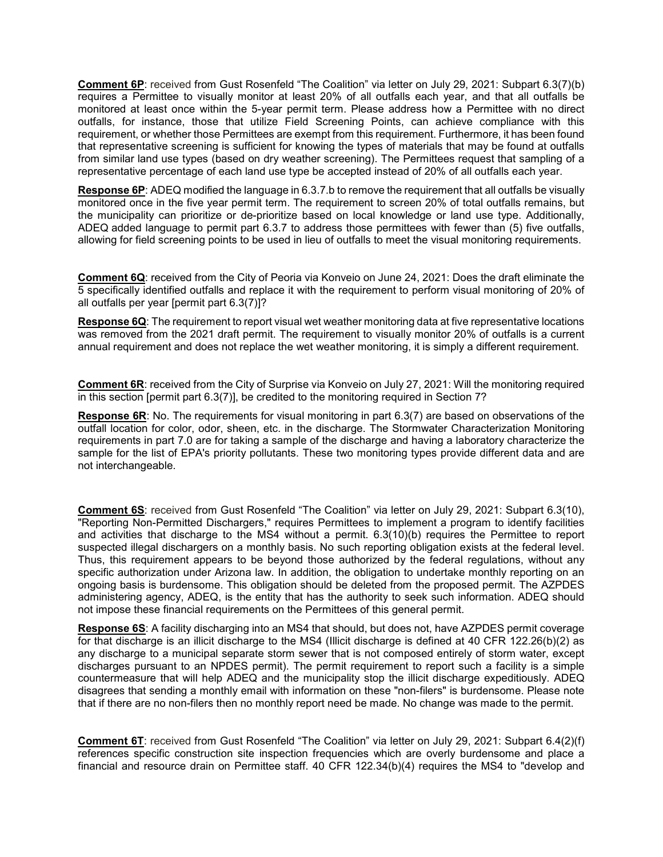**Comment 6P**: received from Gust Rosenfeld "The Coalition" via letter on July 29, 2021: Subpart 6.3(7)(b) requires a Permittee to visually monitor at least 20% of all outfalls each year, and that all outfalls be monitored at least once within the 5-year permit term. Please address how a Permittee with no direct outfalls, for instance, those that utilize Field Screening Points, can achieve compliance with this requirement, or whether those Permittees are exempt from this requirement. Furthermore, it has been found that representative screening is sufficient for knowing the types of materials that may be found at outfalls from similar land use types (based on dry weather screening). The Permittees request that sampling of a representative percentage of each land use type be accepted instead of 20% of all outfalls each year.

**Response 6P**: ADEQ modified the language in 6.3.7.b to remove the requirement that all outfalls be visually monitored once in the five year permit term. The requirement to screen 20% of total outfalls remains, but the municipality can prioritize or de-prioritize based on local knowledge or land use type. Additionally, ADEQ added language to permit part 6.3.7 to address those permittees with fewer than (5) five outfalls, allowing for field screening points to be used in lieu of outfalls to meet the visual monitoring requirements.

**Comment 6Q**: received from the City of Peoria via Konveio on June 24, 2021: Does the draft eliminate the 5 specifically identified outfalls and replace it with the requirement to perform visual monitoring of 20% of all outfalls per year [permit part 6.3(7)]?

**Response 6Q**: The requirement to report visual wet weather monitoring data at five representative locations was removed from the 2021 draft permit. The requirement to visually monitor 20% of outfalls is a current annual requirement and does not replace the wet weather monitoring, it is simply a different requirement.

**Comment 6R**: received from the City of Surprise via Konveio on July 27, 2021: Will the monitoring required in this section [permit part 6.3(7)], be credited to the monitoring required in Section 7?

**Response 6R**: No. The requirements for visual monitoring in part 6.3(7) are based on observations of the outfall location for color, odor, sheen, etc. in the discharge. The Stormwater Characterization Monitoring requirements in part 7.0 are for taking a sample of the discharge and having a laboratory characterize the sample for the list of EPA's priority pollutants. These two monitoring types provide different data and are not interchangeable.

**Comment 6S**: received from Gust Rosenfeld "The Coalition" via letter on July 29, 2021: Subpart 6.3(10), "Reporting Non-Permitted Dischargers," requires Permittees to implement a program to identify facilities and activities that discharge to the MS4 without a permit. 6.3(10)(b) requires the Permittee to report suspected illegal dischargers on a monthly basis. No such reporting obligation exists at the federal level. Thus, this requirement appears to be beyond those authorized by the federal regulations, without any specific authorization under Arizona law. In addition, the obligation to undertake monthly reporting on an ongoing basis is burdensome. This obligation should be deleted from the proposed permit. The AZPDES administering agency, ADEQ, is the entity that has the authority to seek such information. ADEQ should not impose these financial requirements on the Permittees of this general permit.

**Response 6S**: A facility discharging into an MS4 that should, but does not, have AZPDES permit coverage for that discharge is an illicit discharge to the MS4 (Illicit discharge is defined at 40 CFR 122.26(b)(2) as any discharge to a municipal separate storm sewer that is not composed entirely of storm water, except discharges pursuant to an NPDES permit). The permit requirement to report such a facility is a simple countermeasure that will help ADEQ and the municipality stop the illicit discharge expeditiously. ADEQ disagrees that sending a monthly email with information on these "non-filers" is burdensome. Please note that if there are no non-filers then no monthly report need be made. No change was made to the permit.

**Comment 6T**: received from Gust Rosenfeld "The Coalition" via letter on July 29, 2021: Subpart 6.4(2)(f) references specific construction site inspection frequencies which are overly burdensome and place a financial and resource drain on Permittee staff. 40 CFR 122.34(b)(4) requires the MS4 to "develop and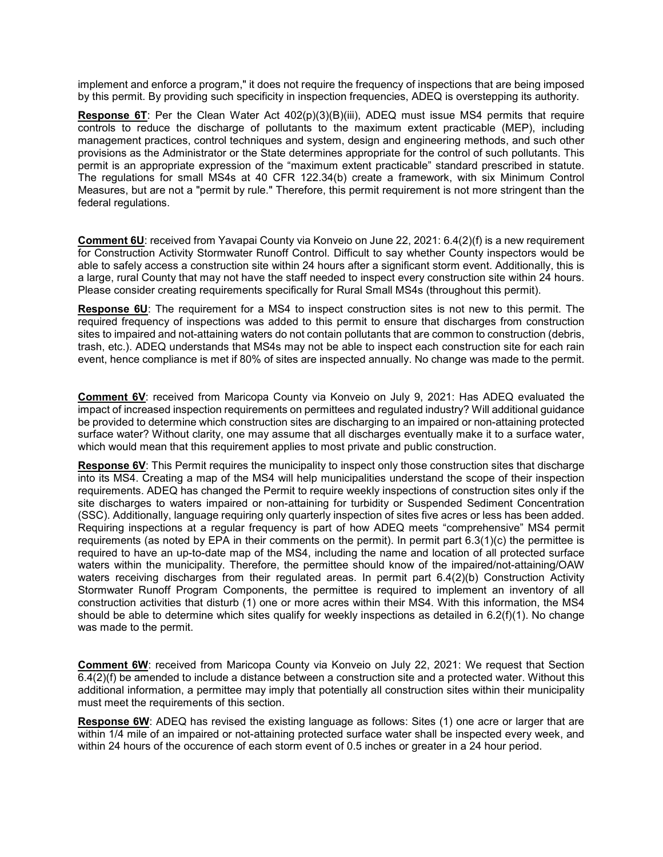implement and enforce a program," it does not require the frequency of inspections that are being imposed by this permit. By providing such specificity in inspection frequencies, ADEQ is overstepping its authority.

**Response 6T**: Per the Clean Water Act 402(p)(3)(B)(iii), ADEQ must issue MS4 permits that require controls to reduce the discharge of pollutants to the maximum extent practicable (MEP), including management practices, control techniques and system, design and engineering methods, and such other provisions as the Administrator or the State determines appropriate for the control of such pollutants. This permit is an appropriate expression of the "maximum extent practicable" standard prescribed in statute. The regulations for small MS4s at 40 CFR 122.34(b) create a framework, with six Minimum Control Measures, but are not a "permit by rule." Therefore, this permit requirement is not more stringent than the federal regulations.

**Comment 6U**: received from Yavapai County via Konveio on June 22, 2021: 6.4(2)(f) is a new requirement for Construction Activity Stormwater Runoff Control. Difficult to say whether County inspectors would be able to safely access a construction site within 24 hours after a significant storm event. Additionally, this is a large, rural County that may not have the staff needed to inspect every construction site within 24 hours. Please consider creating requirements specifically for Rural Small MS4s (throughout this permit).

**Response 6U**: The requirement for a MS4 to inspect construction sites is not new to this permit. The required frequency of inspections was added to this permit to ensure that discharges from construction sites to impaired and not-attaining waters do not contain pollutants that are common to construction (debris, trash, etc.). ADEQ understands that MS4s may not be able to inspect each construction site for each rain event, hence compliance is met if 80% of sites are inspected annually. No change was made to the permit.

**Comment 6V**: received from Maricopa County via Konveio on July 9, 2021: Has ADEQ evaluated the impact of increased inspection requirements on permittees and regulated industry? Will additional guidance be provided to determine which construction sites are discharging to an impaired or non-attaining protected surface water? Without clarity, one may assume that all discharges eventually make it to a surface water, which would mean that this requirement applies to most private and public construction.

**Response 6V:** This Permit requires the municipality to inspect only those construction sites that discharge into its MS4. Creating a map of the MS4 will help municipalities understand the scope of their inspection requirements. ADEQ has changed the Permit to require weekly inspections of construction sites only if the site discharges to waters impaired or non-attaining for turbidity or Suspended Sediment Concentration (SSC). Additionally, language requiring only quarterly inspection of sites five acres or less has been added. Requiring inspections at a regular frequency is part of how ADEQ meets "comprehensive" MS4 permit requirements (as noted by EPA in their comments on the permit). In permit part 6.3(1)(c) the permittee is required to have an up-to-date map of the MS4, including the name and location of all protected surface waters within the municipality. Therefore, the permittee should know of the impaired/not-attaining/OAW waters receiving discharges from their regulated areas. In permit part 6.4(2)(b) Construction Activity Stormwater Runoff Program Components, the permittee is required to implement an inventory of all construction activities that disturb (1) one or more acres within their MS4. With this information, the MS4 should be able to determine which sites qualify for weekly inspections as detailed in 6.2(f)(1). No change was made to the permit.

**Comment 6W**: received from Maricopa County via Konveio on July 22, 2021: We request that Section 6.4(2)(f) be amended to include a distance between a construction site and a protected water. Without this additional information, a permittee may imply that potentially all construction sites within their municipality must meet the requirements of this section.

**Response 6W**: ADEQ has revised the existing language as follows: Sites (1) one acre or larger that are within 1/4 mile of an impaired or not-attaining protected surface water shall be inspected every week, and within 24 hours of the occurence of each storm event of 0.5 inches or greater in a 24 hour period.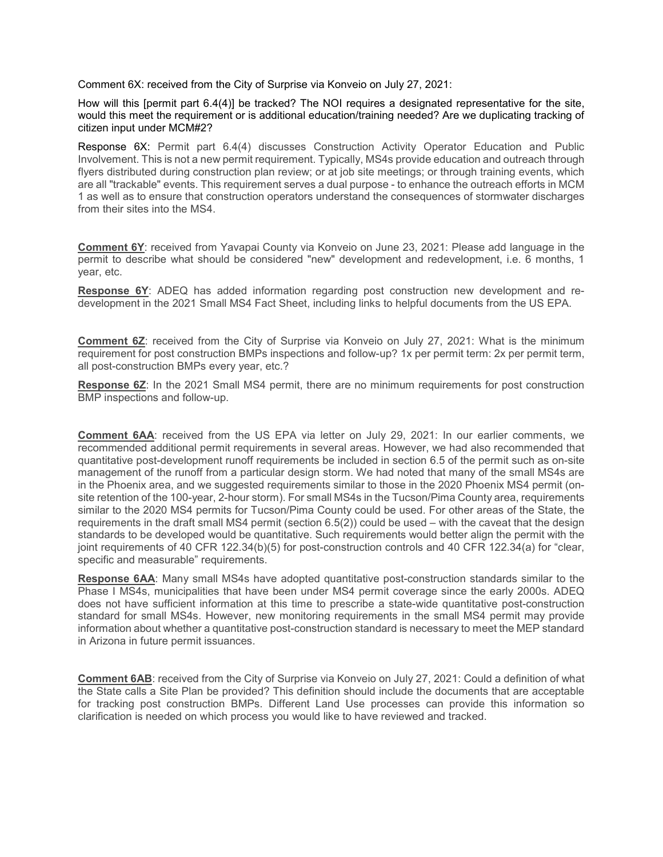Comment 6X: received from the City of Surprise via Konveio on July 27, 2021:

How will this [permit part 6.4(4)] be tracked? The NOI requires a designated representative for the site, would this meet the requirement or is additional education/training needed? Are we duplicating tracking of citizen input under MCM#2?

Response 6X: Permit part 6.4(4) discusses Construction Activity Operator Education and Public Involvement. This is not a new permit requirement. Typically, MS4s provide education and outreach through flyers distributed during construction plan review; or at job site meetings; or through training events, which are all "trackable" events. This requirement serves a dual purpose - to enhance the outreach efforts in MCM 1 as well as to ensure that construction operators understand the consequences of stormwater discharges from their sites into the MS4.

**Comment 6Y**: received from Yavapai County via Konveio on June 23, 2021: Please add language in the permit to describe what should be considered "new" development and redevelopment, i.e. 6 months, 1 year, etc.

**Response 6Y**: ADEQ has added information regarding post construction new development and redevelopment in the 2021 Small MS4 Fact Sheet, including links to helpful documents from the US EPA.

**Comment 6Z:** received from the City of Surprise via Konveio on July 27, 2021: What is the minimum requirement for post construction BMPs inspections and follow-up? 1x per permit term: 2x per permit term, all post-construction BMPs every year, etc.?

**Response 6Z**: In the 2021 Small MS4 permit, there are no minimum requirements for post construction BMP inspections and follow-up.

**Comment 6AA**: received from the US EPA via letter on July 29, 2021: In our earlier comments, we recommended additional permit requirements in several areas. However, we had also recommended that quantitative post-development runoff requirements be included in section 6.5 of the permit such as on-site management of the runoff from a particular design storm. We had noted that many of the small MS4s are in the Phoenix area, and we suggested requirements similar to those in the 2020 Phoenix MS4 permit (onsite retention of the 100-year, 2-hour storm). For small MS4s in the Tucson/Pima County area, requirements similar to the 2020 MS4 permits for Tucson/Pima County could be used. For other areas of the State, the requirements in the draft small MS4 permit (section 6.5(2)) could be used – with the caveat that the design standards to be developed would be quantitative. Such requirements would better align the permit with the joint requirements of 40 CFR 122.34(b)(5) for post-construction controls and 40 CFR 122.34(a) for "clear, specific and measurable" requirements.

**Response 6AA**: Many small MS4s have adopted quantitative post-construction standards similar to the Phase I MS4s, municipalities that have been under MS4 permit coverage since the early 2000s. ADEQ does not have sufficient information at this time to prescribe a state-wide quantitative post-construction standard for small MS4s. However, new monitoring requirements in the small MS4 permit may provide information about whether a quantitative post-construction standard is necessary to meet the MEP standard in Arizona in future permit issuances.

**Comment 6AB**: received from the City of Surprise via Konveio on July 27, 2021: Could a definition of what the State calls a Site Plan be provided? This definition should include the documents that are acceptable for tracking post construction BMPs. Different Land Use processes can provide this information so clarification is needed on which process you would like to have reviewed and tracked.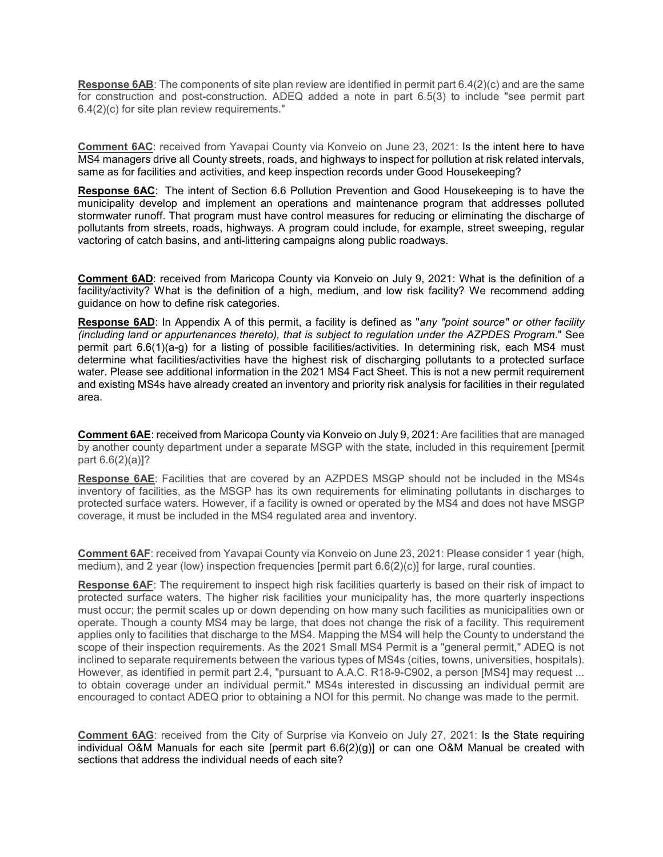**Response 6AB**: The components of site plan review are identified in permit part 6.4(2)(c) and are the same for construction and post-construction. ADEQ added a note in part 6.5(3) to include "see permit part 6.4(2)(c) for site plan review requirements."

**Comment 6AC**: received from Yavapai County via Konveio on June 23, 2021: Is the intent here to have MS4 managers drive all County streets, roads, and highways to inspect for pollution at risk related intervals, same as for facilities and activities, and keep inspection records under Good Housekeeping?

**Response 6AC**: The intent of Section 6.6 Pollution Prevention and Good Housekeeping is to have the municipality develop and implement an operations and maintenance program that addresses polluted stormwater runoff. That program must have control measures for reducing or eliminating the discharge of pollutants from streets, roads, highways. A program could include, for example, street sweeping, regular vactoring of catch basins, and anti-littering campaigns along public roadways.

**Comment 6AD**: received from Maricopa County via Konveio on July 9, 2021: What is the definition of a facility/activity? What is the definition of a high, medium, and low risk facility? We recommend adding guidance on how to define risk categories.

**Response 6AD**: In Appendix A of this permit, a facility is defined as "*any "point source" or other facility (including land or appurtenances thereto), that is subject to regulation under the AZPDES Program*." See permit part 6.6(1)(a-g) for a listing of possible facilities/activities. In determining risk, each MS4 must determine what facilities/activities have the highest risk of discharging pollutants to a protected surface water. Please see additional information in the 2021 MS4 Fact Sheet. This is not a new permit requirement and existing MS4s have already created an inventory and priority risk analysis for facilities in their regulated area.

**Comment 6AE**: received from Maricopa County via Konveio on July 9, 2021: Are facilities that are managed by another county department under a separate MSGP with the state, included in this requirement [permit part 6.6(2)(a)]?

**Response 6AE**: Facilities that are covered by an AZPDES MSGP should not be included in the MS4s inventory of facilities, as the MSGP has its own requirements for eliminating pollutants in discharges to protected surface waters. However, if a facility is owned or operated by the MS4 and does not have MSGP coverage, it must be included in the MS4 regulated area and inventory.

**Comment 6AF**: received from Yavapai County via Konveio on June 23, 2021: Please consider 1 year (high, medium), and 2 year (low) inspection frequencies [permit part 6.6(2)(c)] for large, rural counties.

**Response 6AF:** The requirement to inspect high risk facilities quarterly is based on their risk of impact to protected surface waters. The higher risk facilities your municipality has, the more quarterly inspections must occur; the permit scales up or down depending on how many such facilities as municipalities own or operate. Though a county MS4 may be large, that does not change the risk of a facility. This requirement applies only to facilities that discharge to the MS4. Mapping the MS4 will help the County to understand the scope of their inspection requirements. As the 2021 Small MS4 Permit is a "general permit," ADEQ is not inclined to separate requirements between the various types of MS4s (cities, towns, universities, hospitals). However, as identified in permit part 2.4, "pursuant to A.A.C. R18-9-C902, a person [MS4] may request ... to obtain coverage under an individual permit." MS4s interested in discussing an individual permit are encouraged to contact ADEQ prior to obtaining a NOI for this permit. No change was made to the permit.

**Comment 6AG**: received from the City of Surprise via Konveio on July 27, 2021: Is the State requiring individual O&M Manuals for each site [permit part 6.6(2)(g)] or can one O&M Manual be created with sections that address the individual needs of each site?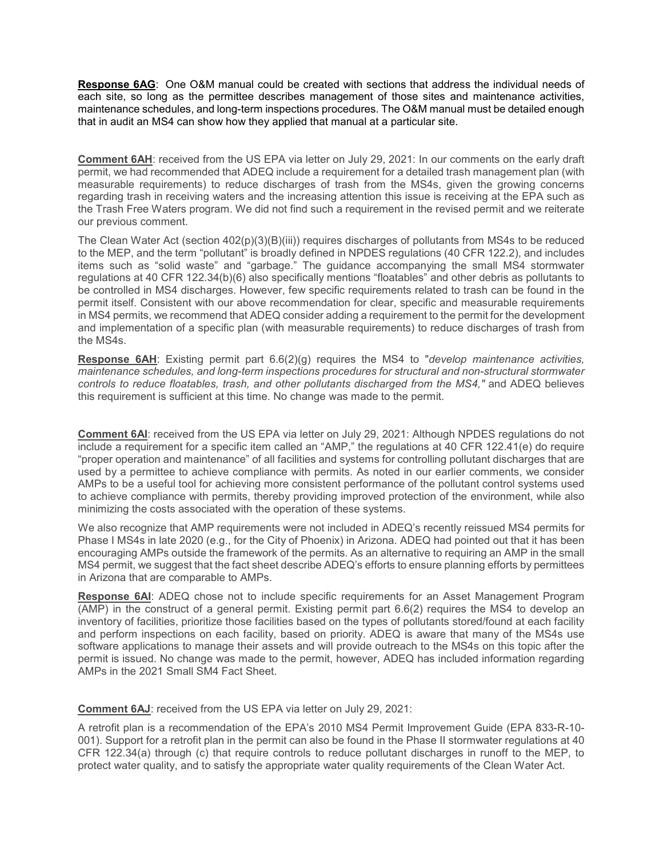**Response 6AG**: One O&M manual could be created with sections that address the individual needs of each site, so long as the permittee describes management of those sites and maintenance activities, maintenance schedules, and long-term inspections procedures. The O&M manual must be detailed enough that in audit an MS4 can show how they applied that manual at a particular site.

**Comment 6AH**: received from the US EPA via letter on July 29, 2021: In our comments on the early draft permit, we had recommended that ADEQ include a requirement for a detailed trash management plan (with measurable requirements) to reduce discharges of trash from the MS4s, given the growing concerns regarding trash in receiving waters and the increasing attention this issue is receiving at the EPA such as the Trash Free Waters program. We did not find such a requirement in the revised permit and we reiterate our previous comment.

The Clean Water Act (section 402(p)(3)(B)(iii)) requires discharges of pollutants from MS4s to be reduced to the MEP, and the term "pollutant" is broadly defined in NPDES regulations (40 CFR 122.2), and includes items such as "solid waste" and "garbage." The guidance accompanying the small MS4 stormwater regulations at 40 CFR 122.34(b)(6) also specifically mentions "floatables" and other debris as pollutants to be controlled in MS4 discharges. However, few specific requirements related to trash can be found in the permit itself. Consistent with our above recommendation for clear, specific and measurable requirements in MS4 permits, we recommend that ADEQ consider adding a requirement to the permit for the development and implementation of a specific plan (with measurable requirements) to reduce discharges of trash from the MS4s.

**Response 6AH**: Existing permit part 6.6(2)(g) requires the MS4 to "*develop maintenance activities, maintenance schedules, and long-term inspections procedures for structural and non-structural stormwater controls to reduce floatables, trash, and other pollutants discharged from the MS4," and ADEQ believes* this requirement is sufficient at this time. No change was made to the permit.

**Comment 6AI**: received from the US EPA via letter on July 29, 2021: Although NPDES regulations do not include a requirement for a specific item called an "AMP," the regulations at 40 CFR 122.41(e) do require "proper operation and maintenance" of all facilities and systems for controlling pollutant discharges that are used by a permittee to achieve compliance with permits. As noted in our earlier comments, we consider AMPs to be a useful tool for achieving more consistent performance of the pollutant control systems used to achieve compliance with permits, thereby providing improved protection of the environment, while also minimizing the costs associated with the operation of these systems.

We also recognize that AMP requirements were not included in ADEQ's recently reissued MS4 permits for Phase I MS4s in late 2020 (e.g., for the City of Phoenix) in Arizona. ADEQ had pointed out that it has been encouraging AMPs outside the framework of the permits. As an alternative to requiring an AMP in the small MS4 permit, we suggest that the fact sheet describe ADEQ's efforts to ensure planning efforts by permittees in Arizona that are comparable to AMPs.

**Response 6AI**: ADEQ chose not to include specific requirements for an Asset Management Program (AMP) in the construct of a general permit. Existing permit part 6.6(2) requires the MS4 to develop an inventory of facilities, prioritize those facilities based on the types of pollutants stored/found at each facility and perform inspections on each facility, based on priority. ADEQ is aware that many of the MS4s use software applications to manage their assets and will provide outreach to the MS4s on this topic after the permit is issued. No change was made to the permit, however, ADEQ has included information regarding AMPs in the 2021 Small SM4 Fact Sheet.

**Comment 6AJ**: received from the US EPA via letter on July 29, 2021:

A retrofit plan is a recommendation of the EPA's 2010 MS4 Permit Improvement Guide (EPA 833-R-10- 001). Support for a retrofit plan in the permit can also be found in the Phase II stormwater regulations at 40 CFR 122.34(a) through (c) that require controls to reduce pollutant discharges in runoff to the MEP, to protect water quality, and to satisfy the appropriate water quality requirements of the Clean Water Act.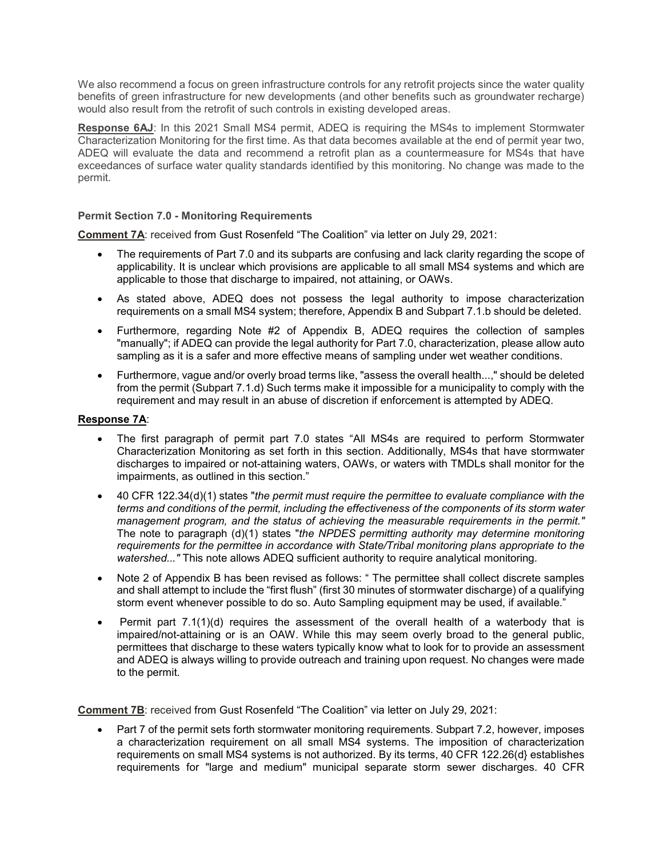We also recommend a focus on green infrastructure controls for any retrofit projects since the water quality benefits of green infrastructure for new developments (and other benefits such as groundwater recharge) would also result from the retrofit of such controls in existing developed areas.

**Response 6AJ**: In this 2021 Small MS4 permit, ADEQ is requiring the MS4s to implement Stormwater Characterization Monitoring for the first time. As that data becomes available at the end of permit year two, ADEQ will evaluate the data and recommend a retrofit plan as a countermeasure for MS4s that have exceedances of surface water quality standards identified by this monitoring. No change was made to the permit.

#### **Permit Section 7.0 - Monitoring Requirements**

**Comment 7A**: received from Gust Rosenfeld "The Coalition" via letter on July 29, 2021:

- The requirements of Part 7.0 and its subparts are confusing and lack clarity regarding the scope of applicability. It is unclear which provisions are applicable to all small MS4 systems and which are applicable to those that discharge to impaired, not attaining, or OAWs.
- As stated above, ADEQ does not possess the legal authority to impose characterization requirements on a small MS4 system; therefore, Appendix B and Subpart 7.1.b should be deleted.
- Furthermore, regarding Note #2 of Appendix B, ADEQ requires the collection of samples "manually"; if ADEQ can provide the legal authority for Part 7.0, characterization, please allow auto sampling as it is a safer and more effective means of sampling under wet weather conditions.
- Furthermore, vague and/or overly broad terms like, "assess the overall health...," should be deleted from the permit (Subpart 7.1.d) Such terms make it impossible for a municipality to comply with the requirement and may result in an abuse of discretion if enforcement is attempted by ADEQ.

#### **Response 7A**:

- The first paragraph of permit part 7.0 states "All MS4s are required to perform Stormwater Characterization Monitoring as set forth in this section. Additionally, MS4s that have stormwater discharges to impaired or not-attaining waters, OAWs, or waters with TMDLs shall monitor for the impairments, as outlined in this section."
- 40 CFR 122.34(d)(1) states "*the permit must require the permittee to evaluate compliance with the terms and conditions of the permit, including the effectiveness of the components of its storm water management program, and the status of achieving the measurable requirements in the permit."*  The note to paragraph (d)(1) states "*the NPDES permitting authority may determine monitoring requirements for the permittee in accordance with State/Tribal monitoring plans appropriate to the watershed..."* This note allows ADEQ sufficient authority to require analytical monitoring.
- Note 2 of Appendix B has been revised as follows: " The permittee shall collect discrete samples and shall attempt to include the "first flush" (first 30 minutes of stormwater discharge) of a qualifying storm event whenever possible to do so. Auto Sampling equipment may be used, if available."
- Permit part  $7.1(1)(d)$  requires the assessment of the overall health of a waterbody that is impaired/not-attaining or is an OAW. While this may seem overly broad to the general public, permittees that discharge to these waters typically know what to look for to provide an assessment and ADEQ is always willing to provide outreach and training upon request. No changes were made to the permit.

**Comment 7B**: received from Gust Rosenfeld "The Coalition" via letter on July 29, 2021:

• Part 7 of the permit sets forth stormwater monitoring requirements. Subpart 7.2, however, imposes a characterization requirement on all small MS4 systems. The imposition of characterization requirements on small MS4 systems is not authorized. By its terms, 40 CFR 122.26(d} establishes requirements for "large and medium" municipal separate storm sewer discharges. 40 CFR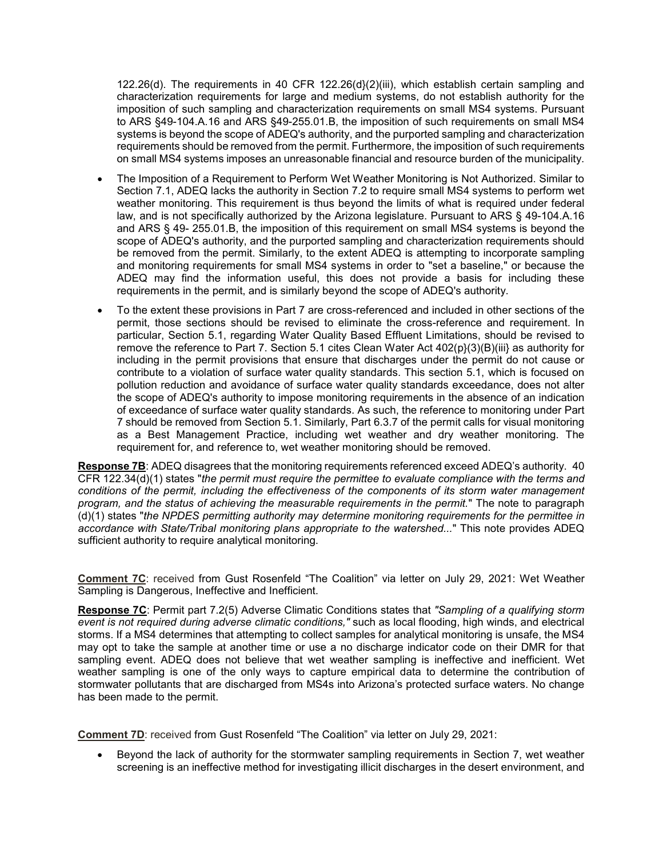122.26(d). The requirements in 40 CFR 122.26(d}(2)(iii), which establish certain sampling and characterization requirements for large and medium systems, do not establish authority for the imposition of such sampling and characterization requirements on small MS4 systems. Pursuant to ARS §49-104.A.16 and ARS §49-255.01.B, the imposition of such requirements on small MS4 systems is beyond the scope of ADEQ's authority, and the purported sampling and characterization requirements should be removed from the permit. Furthermore, the imposition of such requirements on small MS4 systems imposes an unreasonable financial and resource burden of the municipality.

- The Imposition of a Requirement to Perform Wet Weather Monitoring is Not Authorized. Similar to Section 7.1, ADEQ lacks the authority in Section 7.2 to require small MS4 systems to perform wet weather monitoring. This requirement is thus beyond the limits of what is required under federal law, and is not specifically authorized by the Arizona legislature. Pursuant to ARS § 49-104.A.16 and ARS § 49- 255.01.B, the imposition of this requirement on small MS4 systems is beyond the scope of ADEQ's authority, and the purported sampling and characterization requirements should be removed from the permit. Similarly, to the extent ADEQ is attempting to incorporate sampling and monitoring requirements for small MS4 systems in order to "set a baseline," or because the ADEQ may find the information useful, this does not provide a basis for including these requirements in the permit, and is similarly beyond the scope of ADEQ's authority.
- To the extent these provisions in Part 7 are cross-referenced and included in other sections of the permit, those sections should be revised to eliminate the cross-reference and requirement. In particular, Section 5.1, regarding Water Quality Based Effluent Limitations, should be revised to remove the reference to Part 7. Section 5.1 cites Clean Water Act 402(p}(3)(B)(iii} as authority for including in the permit provisions that ensure that discharges under the permit do not cause or contribute to a violation of surface water quality standards. This section 5.1, which is focused on pollution reduction and avoidance of surface water quality standards exceedance, does not alter the scope of ADEQ's authority to impose monitoring requirements in the absence of an indication of exceedance of surface water quality standards. As such, the reference to monitoring under Part 7 should be removed from Section 5.1. Similarly, Part 6.3.7 of the permit calls for visual monitoring as a Best Management Practice, including wet weather and dry weather monitoring. The requirement for, and reference to, wet weather monitoring should be removed.

**Response 7B**: ADEQ disagrees that the monitoring requirements referenced exceed ADEQ's authority. 40 CFR 122.34(d)(1) states "*the permit must require the permittee to evaluate compliance with the terms and conditions of the permit, including the effectiveness of the components of its storm water management program, and the status of achieving the measurable requirements in the permit.*" The note to paragraph (d)(1) states "*the NPDES permitting authority may determine monitoring requirements for the permittee in accordance with State/Tribal monitoring plans appropriate to the watershed...*" This note provides ADEQ sufficient authority to require analytical monitoring.

**Comment 7C**: received from Gust Rosenfeld "The Coalition" via letter on July 29, 2021: Wet Weather Sampling is Dangerous, Ineffective and Inefficient.

**Response 7C**: Permit part 7.2(5) Adverse Climatic Conditions states that *"Sampling of a qualifying storm event is not required during adverse climatic conditions,"* such as local flooding, high winds, and electrical storms. If a MS4 determines that attempting to collect samples for analytical monitoring is unsafe, the MS4 may opt to take the sample at another time or use a no discharge indicator code on their DMR for that sampling event. ADEQ does not believe that wet weather sampling is ineffective and inefficient. Wet weather sampling is one of the only ways to capture empirical data to determine the contribution of stormwater pollutants that are discharged from MS4s into Arizona's protected surface waters. No change has been made to the permit.

**Comment 7D**: received from Gust Rosenfeld "The Coalition" via letter on July 29, 2021:

• Beyond the lack of authority for the stormwater sampling requirements in Section 7, wet weather screening is an ineffective method for investigating illicit discharges in the desert environment, and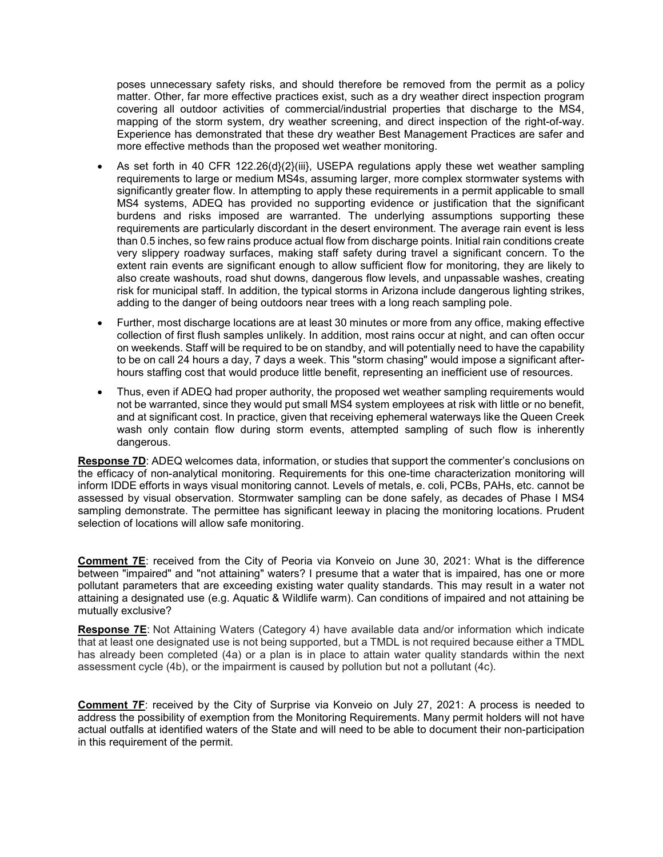poses unnecessary safety risks, and should therefore be removed from the permit as a policy matter. Other, far more effective practices exist, such as a dry weather direct inspection program covering all outdoor activities of commercial/industrial properties that discharge to the MS4, mapping of the storm system, dry weather screening, and direct inspection of the right-of-way. Experience has demonstrated that these dry weather Best Management Practices are safer and more effective methods than the proposed wet weather monitoring.

- As set forth in 40 CFR 122.26(d}(2)(iii), USEPA regulations apply these wet weather sampling requirements to large or medium MS4s, assuming larger, more complex stormwater systems with significantly greater flow. In attempting to apply these requirements in a permit applicable to small MS4 systems, ADEQ has provided no supporting evidence or justification that the significant burdens and risks imposed are warranted. The underlying assumptions supporting these requirements are particularly discordant in the desert environment. The average rain event is less than 0.5 inches, so few rains produce actual flow from discharge points. Initial rain conditions create very slippery roadway surfaces, making staff safety during travel a significant concern. To the extent rain events are significant enough to allow sufficient flow for monitoring, they are likely to also create washouts, road shut downs, dangerous flow levels, and unpassable washes, creating risk for municipal staff. In addition, the typical storms in Arizona include dangerous lighting strikes, adding to the danger of being outdoors near trees with a long reach sampling pole.
- Further, most discharge locations are at least 30 minutes or more from any office, making effective collection of first flush samples unlikely. In addition, most rains occur at night, and can often occur on weekends. Staff will be required to be on standby, and will potentially need to have the capability to be on call 24 hours a day, 7 days a week. This "storm chasing" would impose a significant afterhours staffing cost that would produce little benefit, representing an inefficient use of resources.
- Thus, even if ADEQ had proper authority, the proposed wet weather sampling requirements would not be warranted, since they would put small MS4 system employees at risk with little or no benefit, and at significant cost. In practice, given that receiving ephemeral waterways like the Queen Creek wash only contain flow during storm events, attempted sampling of such flow is inherently dangerous.

**Response 7D**: ADEQ welcomes data, information, or studies that support the commenter's conclusions on the efficacy of non-analytical monitoring. Requirements for this one-time characterization monitoring will inform IDDE efforts in ways visual monitoring cannot. Levels of metals, e. coli, PCBs, PAHs, etc. cannot be assessed by visual observation. Stormwater sampling can be done safely, as decades of Phase I MS4 sampling demonstrate. The permittee has significant leeway in placing the monitoring locations. Prudent selection of locations will allow safe monitoring.

**Comment 7E**: received from the City of Peoria via Konveio on June 30, 2021: What is the difference between "impaired" and "not attaining" waters? I presume that a water that is impaired, has one or more pollutant parameters that are exceeding existing water quality standards. This may result in a water not attaining a designated use (e.g. Aquatic & Wildlife warm). Can conditions of impaired and not attaining be mutually exclusive?

**Response 7E**: Not Attaining Waters (Category 4) have available data and/or information which indicate that at least one designated use is not being supported, but a TMDL is not required because either a TMDL has already been completed (4a) or a plan is in place to attain water quality standards within the next assessment cycle (4b), or the impairment is caused by pollution but not a pollutant (4c).

**Comment 7F**: received by the City of Surprise via Konveio on July 27, 2021: A process is needed to address the possibility of exemption from the Monitoring Requirements. Many permit holders will not have actual outfalls at identified waters of the State and will need to be able to document their non-participation in this requirement of the permit.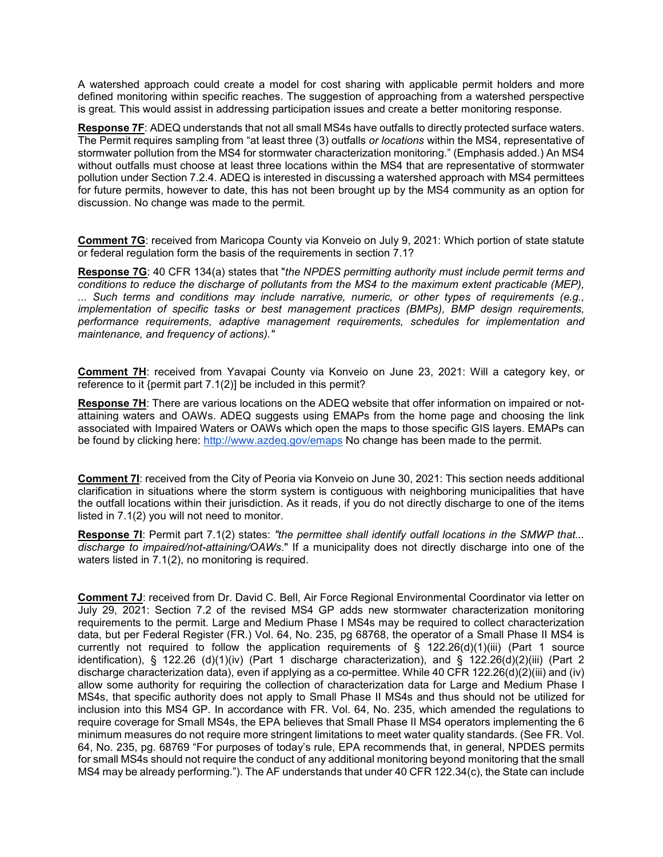A watershed approach could create a model for cost sharing with applicable permit holders and more defined monitoring within specific reaches. The suggestion of approaching from a watershed perspective is great. This would assist in addressing participation issues and create a better monitoring response.

**Response 7F**: ADEQ understands that not all small MS4s have outfalls to directly protected surface waters. The Permit requires sampling from "at least three (3) outfalls *or locations* within the MS4, representative of stormwater pollution from the MS4 for stormwater characterization monitoring." (Emphasis added.) An MS4 without outfalls must choose at least three locations within the MS4 that are representative of stormwater pollution under Section 7.2.4. ADEQ is interested in discussing a watershed approach with MS4 permittees for future permits, however to date, this has not been brought up by the MS4 community as an option for discussion. No change was made to the permit.

**Comment 7G**: received from Maricopa County via Konveio on July 9, 2021: Which portion of state statute or federal regulation form the basis of the requirements in section 7.1?

**Response 7G**: 40 CFR 134(a) states that "*the NPDES permitting authority must include permit terms and conditions to reduce the discharge of pollutants from the MS4 to the maximum extent practicable (MEP), ... Such terms and conditions may include narrative, numeric, or other types of requirements (e.g., implementation of specific tasks or best management practices (BMPs), BMP design requirements, performance requirements, adaptive management requirements, schedules for implementation and maintenance, and frequency of actions)."*

**Comment 7H**: received from Yavapai County via Konveio on June 23, 2021: Will a category key, or reference to it {permit part 7.1(2)] be included in this permit?

**Response 7H**: There are various locations on the ADEQ website that offer information on impaired or notattaining waters and OAWs. ADEQ suggests using EMAPs from the home page and choosing the link associated with Impaired Waters or OAWs which open the maps to those specific GIS layers. EMAPs can be found by clicking here: <http://www.azdeq.gov/emaps> No change has been made to the permit.

**Comment 7I**: received from the City of Peoria via Konveio on June 30, 2021: This section needs additional clarification in situations where the storm system is contiguous with neighboring municipalities that have the outfall locations within their jurisdiction. As it reads, if you do not directly discharge to one of the items listed in 7.1(2) you will not need to monitor.

**Response 7I**: Permit part 7.1(2) states: *"the permittee shall identify outfall locations in the SMWP that... discharge to impaired/not-attaining/OAWs*." If a municipality does not directly discharge into one of the waters listed in 7.1(2), no monitoring is required.

**Comment 7J**: received from Dr. David C. Bell, Air Force Regional Environmental Coordinator via letter on July 29, 2021: Section 7.2 of the revised MS4 GP adds new stormwater characterization monitoring requirements to the permit. Large and Medium Phase I MS4s may be required to collect characterization data, but per Federal Register (FR.) Vol. 64, No. 235, pg 68768, the operator of a Small Phase II MS4 is currently not required to follow the application requirements of  $\S$  122.26(d)(1)(iii) (Part 1 source identification), § 122.26 (d)(1)(iv) (Part 1 discharge characterization), and § 122.26(d)(2)(iii) (Part 2 discharge characterization data), even if applying as a co-permittee. While 40 CFR 122.26(d)(2)(iii) and (iv) allow some authority for requiring the collection of characterization data for Large and Medium Phase I MS4s, that specific authority does not apply to Small Phase II MS4s and thus should not be utilized for inclusion into this MS4 GP. In accordance with FR. Vol. 64, No. 235, which amended the regulations to require coverage for Small MS4s, the EPA believes that Small Phase II MS4 operators implementing the 6 minimum measures do not require more stringent limitations to meet water quality standards. (See FR. Vol. 64, No. 235, pg. 68769 "For purposes of today's rule, EPA recommends that, in general, NPDES permits for small MS4s should not require the conduct of any additional monitoring beyond monitoring that the small MS4 may be already performing."). The AF understands that under 40 CFR 122.34(c), the State can include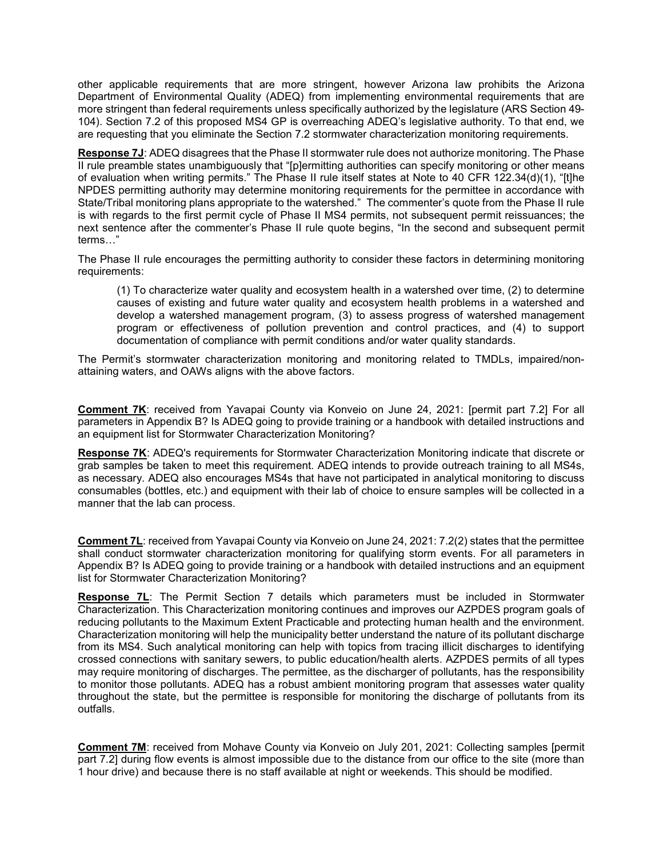other applicable requirements that are more stringent, however Arizona law prohibits the Arizona Department of Environmental Quality (ADEQ) from implementing environmental requirements that are more stringent than federal requirements unless specifically authorized by the legislature (ARS Section 49- 104). Section 7.2 of this proposed MS4 GP is overreaching ADEQ's legislative authority. To that end, we are requesting that you eliminate the Section 7.2 stormwater characterization monitoring requirements.

**Response 7J**: ADEQ disagrees that the Phase II stormwater rule does not authorize monitoring. The Phase II rule preamble states unambiguously that "[p]ermitting authorities can specify monitoring or other means of evaluation when writing permits." The Phase II rule itself states at Note to 40 CFR 122.34(d)(1), "[t]he NPDES permitting authority may determine monitoring requirements for the permittee in accordance with State/Tribal monitoring plans appropriate to the watershed." The commenter's quote from the Phase II rule is with regards to the first permit cycle of Phase II MS4 permits, not subsequent permit reissuances; the next sentence after the commenter's Phase II rule quote begins, "In the second and subsequent permit terms…"

The Phase II rule encourages the permitting authority to consider these factors in determining monitoring requirements:

(1) To characterize water quality and ecosystem health in a watershed over time, (2) to determine causes of existing and future water quality and ecosystem health problems in a watershed and develop a watershed management program, (3) to assess progress of watershed management program or effectiveness of pollution prevention and control practices, and (4) to support documentation of compliance with permit conditions and/or water quality standards.

The Permit's stormwater characterization monitoring and monitoring related to TMDLs, impaired/nonattaining waters, and OAWs aligns with the above factors.

**Comment 7K**: received from Yavapai County via Konveio on June 24, 2021: [permit part 7.2] For all parameters in Appendix B? Is ADEQ going to provide training or a handbook with detailed instructions and an equipment list for Stormwater Characterization Monitoring?

**Response 7K**: ADEQ's requirements for Stormwater Characterization Monitoring indicate that discrete or grab samples be taken to meet this requirement. ADEQ intends to provide outreach training to all MS4s, as necessary. ADEQ also encourages MS4s that have not participated in analytical monitoring to discuss consumables (bottles, etc.) and equipment with their lab of choice to ensure samples will be collected in a manner that the lab can process.

**Comment 7L**: received from Yavapai County via Konveio on June 24, 2021: 7.2(2) states that the permittee shall conduct stormwater characterization monitoring for qualifying storm events. For all parameters in Appendix B? Is ADEQ going to provide training or a handbook with detailed instructions and an equipment list for Stormwater Characterization Monitoring?

**Response 7L**: The Permit Section 7 details which parameters must be included in Stormwater Characterization. This Characterization monitoring continues and improves our AZPDES program goals of reducing pollutants to the Maximum Extent Practicable and protecting human health and the environment. Characterization monitoring will help the municipality better understand the nature of its pollutant discharge from its MS4. Such analytical monitoring can help with topics from tracing illicit discharges to identifying crossed connections with sanitary sewers, to public education/health alerts. AZPDES permits of all types may require monitoring of discharges. The permittee, as the discharger of pollutants, has the responsibility to monitor those pollutants. ADEQ has a robust ambient monitoring program that assesses water quality throughout the state, but the permittee is responsible for monitoring the discharge of pollutants from its outfalls.

**Comment 7M**: received from Mohave County via Konveio on July 201, 2021: Collecting samples [permit part 7.2] during flow events is almost impossible due to the distance from our office to the site (more than 1 hour drive) and because there is no staff available at night or weekends. This should be modified.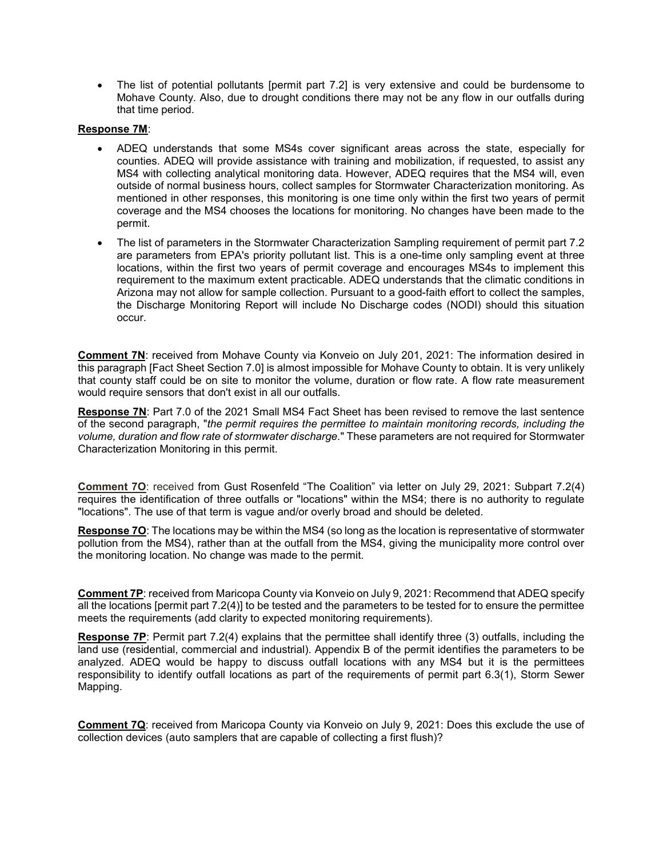• The list of potential pollutants [permit part 7.2] is very extensive and could be burdensome to Mohave County. Also, due to drought conditions there may not be any flow in our outfalls during that time period.

#### **Response 7M**:

- ADEQ understands that some MS4s cover significant areas across the state, especially for counties. ADEQ will provide assistance with training and mobilization, if requested, to assist any MS4 with collecting analytical monitoring data. However, ADEQ requires that the MS4 will, even outside of normal business hours, collect samples for Stormwater Characterization monitoring. As mentioned in other responses, this monitoring is one time only within the first two years of permit coverage and the MS4 chooses the locations for monitoring. No changes have been made to the permit.
- The list of parameters in the Stormwater Characterization Sampling requirement of permit part 7.2 are parameters from EPA's priority pollutant list. This is a one-time only sampling event at three locations, within the first two years of permit coverage and encourages MS4s to implement this requirement to the maximum extent practicable. ADEQ understands that the climatic conditions in Arizona may not allow for sample collection. Pursuant to a good-faith effort to collect the samples, the Discharge Monitoring Report will include No Discharge codes (NODI) should this situation occur.

**Comment 7N**: received from Mohave County via Konveio on July 201, 2021: The information desired in this paragraph [Fact Sheet Section 7.0] is almost impossible for Mohave County to obtain. It is very unlikely that county staff could be on site to monitor the volume, duration or flow rate. A flow rate measurement would require sensors that don't exist in all our outfalls.

**Response 7N**: Part 7.0 of the 2021 Small MS4 Fact Sheet has been revised to remove the last sentence of the second paragraph, "*the permit requires the permittee to maintain monitoring records, including the volume, duration and flow rate of stormwater discharge.*" These parameters are not required for Stormwater Characterization Monitoring in this permit.

**Comment 7O**: received from Gust Rosenfeld "The Coalition" via letter on July 29, 2021: Subpart 7.2(4) requires the identification of three outfalls or "locations" within the MS4; there is no authority to regulate "locations". The use of that term is vague and/or overly broad and should be deleted.

**Response 7O**: The locations may be within the MS4 (so long as the location is representative of stormwater pollution from the MS4), rather than at the outfall from the MS4, giving the municipality more control over the monitoring location. No change was made to the permit.

**Comment 7P**: received from Maricopa County via Konveio on July 9, 2021: Recommend that ADEQ specify all the locations [permit part 7.2(4)] to be tested and the parameters to be tested for to ensure the permittee meets the requirements (add clarity to expected monitoring requirements).

**Response 7P:** Permit part 7.2(4) explains that the permittee shall identify three (3) outfalls, including the land use (residential, commercial and industrial). Appendix B of the permit identifies the parameters to be analyzed. ADEQ would be happy to discuss outfall locations with any MS4 but it is the permittees responsibility to identify outfall locations as part of the requirements of permit part 6.3(1), Storm Sewer Mapping.

**Comment 7Q**: received from Maricopa County via Konveio on July 9, 2021: Does this exclude the use of collection devices (auto samplers that are capable of collecting a first flush)?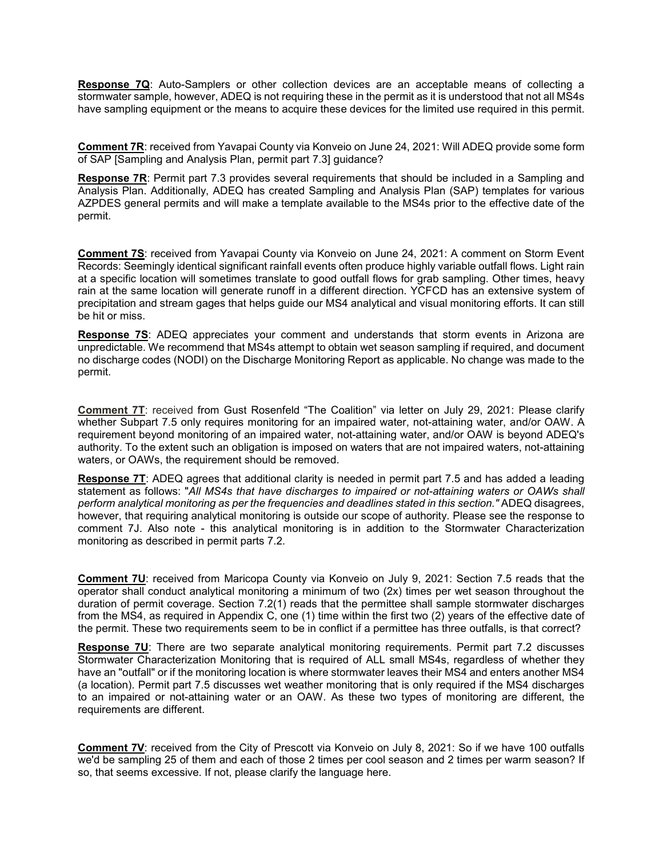**Response 7Q**: Auto-Samplers or other collection devices are an acceptable means of collecting a stormwater sample, however, ADEQ is not requiring these in the permit as it is understood that not all MS4s have sampling equipment or the means to acquire these devices for the limited use required in this permit.

**Comment 7R**: received from Yavapai County via Konveio on June 24, 2021: Will ADEQ provide some form of SAP [Sampling and Analysis Plan, permit part 7.3] guidance?

**Response 7R**: Permit part 7.3 provides several requirements that should be included in a Sampling and Analysis Plan. Additionally, ADEQ has created Sampling and Analysis Plan (SAP) templates for various AZPDES general permits and will make a template available to the MS4s prior to the effective date of the permit.

**Comment 7S**: received from Yavapai County via Konveio on June 24, 2021: A comment on Storm Event Records: Seemingly identical significant rainfall events often produce highly variable outfall flows. Light rain at a specific location will sometimes translate to good outfall flows for grab sampling. Other times, heavy rain at the same location will generate runoff in a different direction. YCFCD has an extensive system of precipitation and stream gages that helps guide our MS4 analytical and visual monitoring efforts. It can still be hit or miss.

**Response 7S**: ADEQ appreciates your comment and understands that storm events in Arizona are unpredictable. We recommend that MS4s attempt to obtain wet season sampling if required, and document no discharge codes (NODI) on the Discharge Monitoring Report as applicable. No change was made to the permit.

**Comment 7T**: received from Gust Rosenfeld "The Coalition" via letter on July 29, 2021: Please clarify whether Subpart 7.5 only requires monitoring for an impaired water, not-attaining water, and/or OAW. A requirement beyond monitoring of an impaired water, not-attaining water, and/or OAW is beyond ADEQ's authority. To the extent such an obligation is imposed on waters that are not impaired waters, not-attaining waters, or OAWs, the requirement should be removed.

**Response 7T**: ADEQ agrees that additional clarity is needed in permit part 7.5 and has added a leading statement as follows: "*All MS4s that have discharges to impaired or not-attaining waters or OAWs shall perform analytical monitoring as per the frequencies and deadlines stated in this section."* ADEQ disagrees, however, that requiring analytical monitoring is outside our scope of authority. Please see the response to comment 7J. Also note - this analytical monitoring is in addition to the Stormwater Characterization monitoring as described in permit parts 7.2.

**Comment 7U**: received from Maricopa County via Konveio on July 9, 2021: Section 7.5 reads that the operator shall conduct analytical monitoring a minimum of two (2x) times per wet season throughout the duration of permit coverage. Section 7.2(1) reads that the permittee shall sample stormwater discharges from the MS4, as required in Appendix C, one (1) time within the first two (2) years of the effective date of the permit. These two requirements seem to be in conflict if a permittee has three outfalls, is that correct?

**Response 7U:** There are two separate analytical monitoring requirements. Permit part 7.2 discusses Stormwater Characterization Monitoring that is required of ALL small MS4s, regardless of whether they have an "outfall" or if the monitoring location is where stormwater leaves their MS4 and enters another MS4 (a location). Permit part 7.5 discusses wet weather monitoring that is only required if the MS4 discharges to an impaired or not-attaining water or an OAW. As these two types of monitoring are different, the requirements are different.

**Comment 7V**: received from the City of Prescott via Konveio on July 8, 2021: So if we have 100 outfalls we'd be sampling 25 of them and each of those 2 times per cool season and 2 times per warm season? If so, that seems excessive. If not, please clarify the language here.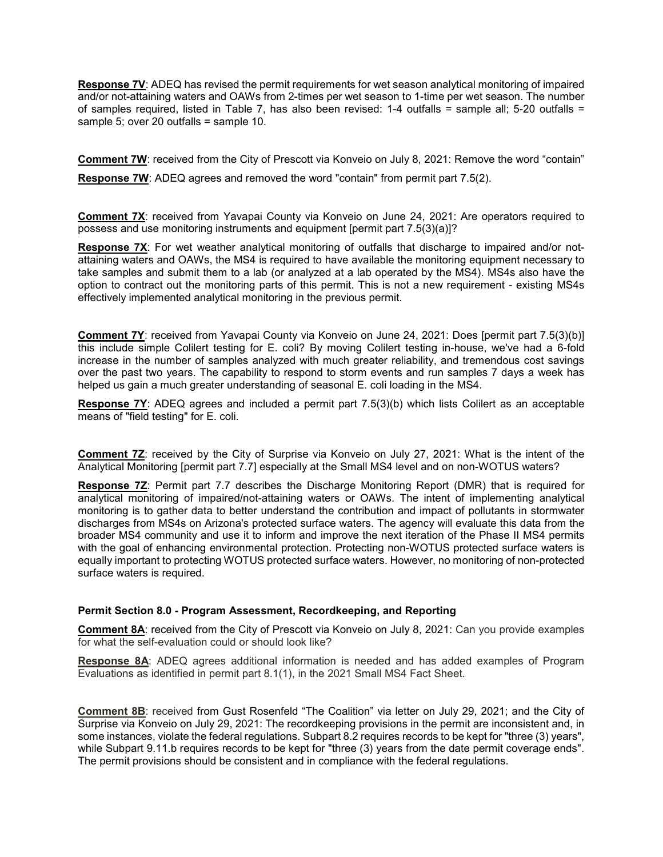**Response 7V**: ADEQ has revised the permit requirements for wet season analytical monitoring of impaired and/or not-attaining waters and OAWs from 2-times per wet season to 1-time per wet season. The number of samples required, listed in Table 7, has also been revised: 1-4 outfalls = sample all; 5-20 outfalls = sample 5; over 20 outfalls = sample 10.

**Comment 7W**: received from the City of Prescott via Konveio on July 8, 2021: Remove the word "contain" **Response 7W:** ADEQ agrees and removed the word "contain" from permit part 7.5(2).

**Comment 7X:** received from Yavapai County via Konveio on June 24, 2021: Are operators required to possess and use monitoring instruments and equipment [permit part 7.5(3)(a)]?

**Response 7X**: For wet weather analytical monitoring of outfalls that discharge to impaired and/or notattaining waters and OAWs, the MS4 is required to have available the monitoring equipment necessary to take samples and submit them to a lab (or analyzed at a lab operated by the MS4). MS4s also have the option to contract out the monitoring parts of this permit. This is not a new requirement - existing MS4s effectively implemented analytical monitoring in the previous permit.

**Comment 7Y**: received from Yavapai County via Konveio on June 24, 2021: Does [permit part 7.5(3)(b)] this include simple Colilert testing for E. coli? By moving Colilert testing in-house, we've had a 6-fold increase in the number of samples analyzed with much greater reliability, and tremendous cost savings over the past two years. The capability to respond to storm events and run samples 7 days a week has helped us gain a much greater understanding of seasonal E. coli loading in the MS4.

**Response 7Y**: ADEQ agrees and included a permit part 7.5(3)(b) which lists Colilert as an acceptable means of "field testing" for E. coli.

**Comment 7Z**: received by the City of Surprise via Konveio on July 27, 2021: What is the intent of the Analytical Monitoring [permit part 7.7] especially at the Small MS4 level and on non-WOTUS waters?

**Response 7Z**: Permit part 7.7 describes the Discharge Monitoring Report (DMR) that is required for analytical monitoring of impaired/not-attaining waters or OAWs. The intent of implementing analytical monitoring is to gather data to better understand the contribution and impact of pollutants in stormwater discharges from MS4s on Arizona's protected surface waters. The agency will evaluate this data from the broader MS4 community and use it to inform and improve the next iteration of the Phase II MS4 permits with the goal of enhancing environmental protection. Protecting non-WOTUS protected surface waters is equally important to protecting WOTUS protected surface waters. However, no monitoring of non-protected surface waters is required.

#### **Permit Section 8.0 - Program Assessment, Recordkeeping, and Reporting**

**Comment 8A**: received from the City of Prescott via Konveio on July 8, 2021: Can you provide examples for what the self-evaluation could or should look like?

**Response 8A**: ADEQ agrees additional information is needed and has added examples of Program Evaluations as identified in permit part 8.1(1), in the 2021 Small MS4 Fact Sheet.

**Comment 8B**: received from Gust Rosenfeld "The Coalition" via letter on July 29, 2021; and the City of Surprise via Konveio on July 29, 2021: The recordkeeping provisions in the permit are inconsistent and, in some instances, violate the federal regulations. Subpart 8.2 requires records to be kept for "three (3) years", while Subpart 9.11.b requires records to be kept for "three (3) years from the date permit coverage ends". The permit provisions should be consistent and in compliance with the federal regulations.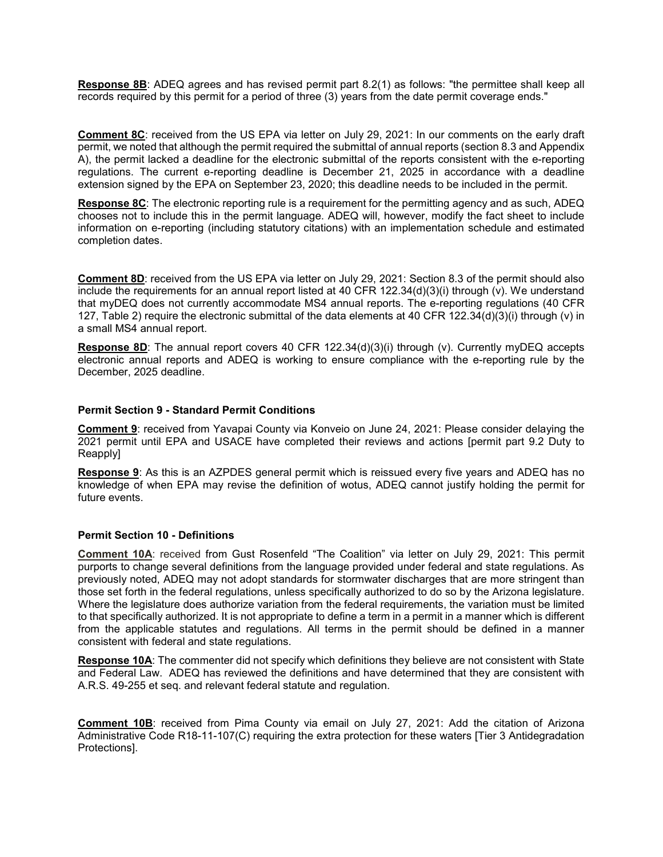**Response 8B**: ADEQ agrees and has revised permit part 8.2(1) as follows: "the permittee shall keep all records required by this permit for a period of three (3) years from the date permit coverage ends."

**Comment 8C**: received from the US EPA via letter on July 29, 2021: In our comments on the early draft permit, we noted that although the permit required the submittal of annual reports (section 8.3 and Appendix A), the permit lacked a deadline for the electronic submittal of the reports consistent with the e-reporting regulations. The current e-reporting deadline is December 21, 2025 in accordance with a deadline extension signed by the EPA on September 23, 2020; this deadline needs to be included in the permit.

**Response 8C**: The electronic reporting rule is a requirement for the permitting agency and as such, ADEQ chooses not to include this in the permit language. ADEQ will, however, modify the fact sheet to include information on e-reporting (including statutory citations) with an implementation schedule and estimated completion dates.

**Comment 8D**: received from the US EPA via letter on July 29, 2021: Section 8.3 of the permit should also include the requirements for an annual report listed at 40 CFR 122.34(d)(3)(i) through (v). We understand that myDEQ does not currently accommodate MS4 annual reports. The e-reporting regulations (40 CFR 127, Table 2) require the electronic submittal of the data elements at 40 CFR 122.34(d)(3)(i) through (v) in a small MS4 annual report.

**Response 8D:** The annual report covers 40 CFR 122.34(d)(3)(i) through (v). Currently myDEQ accepts electronic annual reports and ADEQ is working to ensure compliance with the e-reporting rule by the December, 2025 deadline.

#### **Permit Section 9 - Standard Permit Conditions**

**Comment 9**: received from Yavapai County via Konveio on June 24, 2021: Please consider delaying the 2021 permit until EPA and USACE have completed their reviews and actions [permit part 9.2 Duty to Reapply]

**Response 9**: As this is an AZPDES general permit which is reissued every five years and ADEQ has no knowledge of when EPA may revise the definition of wotus, ADEQ cannot justify holding the permit for future events.

#### **Permit Section 10 - Definitions**

**Comment 10A**: received from Gust Rosenfeld "The Coalition" via letter on July 29, 2021: This permit purports to change several definitions from the language provided under federal and state regulations. As previously noted, ADEQ may not adopt standards for stormwater discharges that are more stringent than those set forth in the federal regulations, unless specifically authorized to do so by the Arizona legislature. Where the legislature does authorize variation from the federal requirements, the variation must be limited to that specifically authorized. It is not appropriate to define a term in a permit in a manner which is different from the applicable statutes and regulations. All terms in the permit should be defined in a manner consistent with federal and state regulations.

**Response 10A**: The commenter did not specify which definitions they believe are not consistent with State and Federal Law. ADEQ has reviewed the definitions and have determined that they are consistent with A.R.S. 49-255 et seq. and relevant federal statute and regulation.

**Comment 10B**: received from Pima County via email on July 27, 2021: Add the citation of Arizona Administrative Code R18-11-107(C) requiring the extra protection for these waters [Tier 3 Antidegradation Protections].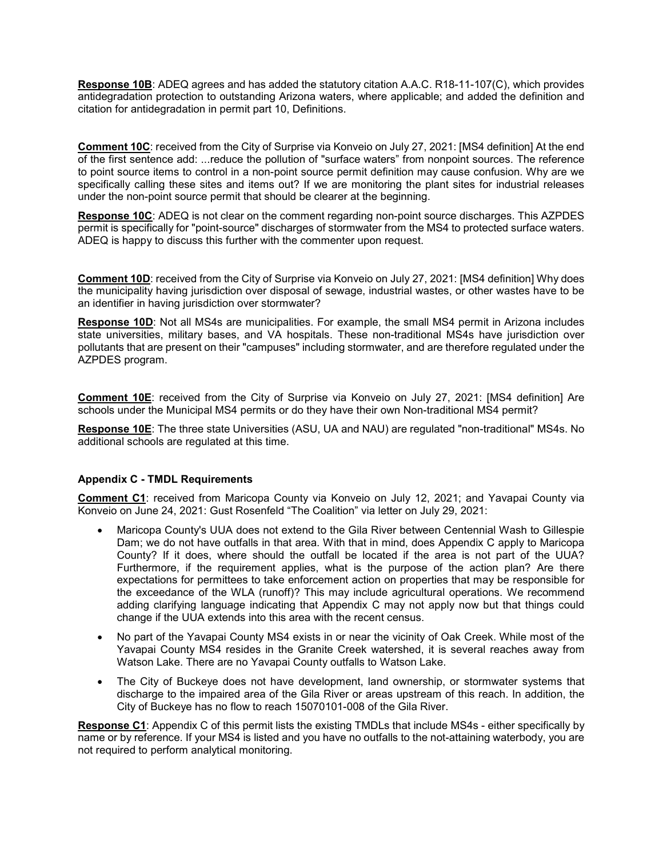**Response 10B**: ADEQ agrees and has added the statutory citation A.A.C. R18-11-107(C), which provides antidegradation protection to outstanding Arizona waters, where applicable; and added the definition and citation for antidegradation in permit part 10, Definitions.

**Comment 10C**: received from the City of Surprise via Konveio on July 27, 2021: [MS4 definition] At the end of the first sentence add: ...reduce the pollution of "surface waters" from nonpoint sources. The reference to point source items to control in a non-point source permit definition may cause confusion. Why are we specifically calling these sites and items out? If we are monitoring the plant sites for industrial releases under the non-point source permit that should be clearer at the beginning.

**Response 10C**: ADEQ is not clear on the comment regarding non-point source discharges. This AZPDES permit is specifically for "point-source" discharges of stormwater from the MS4 to protected surface waters. ADEQ is happy to discuss this further with the commenter upon request.

**Comment 10D**: received from the City of Surprise via Konveio on July 27, 2021: [MS4 definition] Why does the municipality having jurisdiction over disposal of sewage, industrial wastes, or other wastes have to be an identifier in having jurisdiction over stormwater?

**Response 10D**: Not all MS4s are municipalities. For example, the small MS4 permit in Arizona includes state universities, military bases, and VA hospitals. These non-traditional MS4s have jurisdiction over pollutants that are present on their "campuses" including stormwater, and are therefore regulated under the AZPDES program.

**Comment 10E**: received from the City of Surprise via Konveio on July 27, 2021: [MS4 definition] Are schools under the Municipal MS4 permits or do they have their own Non-traditional MS4 permit?

**Response 10E**: The three state Universities (ASU, UA and NAU) are regulated "non-traditional" MS4s. No additional schools are regulated at this time.

## **Appendix C - TMDL Requirements**

**Comment C1**: received from Maricopa County via Konveio on July 12, 2021; and Yavapai County via Konveio on June 24, 2021: Gust Rosenfeld "The Coalition" via letter on July 29, 2021:

- Maricopa County's UUA does not extend to the Gila River between Centennial Wash to Gillespie Dam; we do not have outfalls in that area. With that in mind, does Appendix C apply to Maricopa County? If it does, where should the outfall be located if the area is not part of the UUA? Furthermore, if the requirement applies, what is the purpose of the action plan? Are there expectations for permittees to take enforcement action on properties that may be responsible for the exceedance of the WLA (runoff)? This may include agricultural operations. We recommend adding clarifying language indicating that Appendix C may not apply now but that things could change if the UUA extends into this area with the recent census.
- No part of the Yavapai County MS4 exists in or near the vicinity of Oak Creek. While most of the Yavapai County MS4 resides in the Granite Creek watershed, it is several reaches away from Watson Lake. There are no Yavapai County outfalls to Watson Lake.
- The City of Buckeye does not have development, land ownership, or stormwater systems that discharge to the impaired area of the Gila River or areas upstream of this reach. In addition, the City of Buckeye has no flow to reach 15070101-008 of the Gila River.

**Response C1**: Appendix C of this permit lists the existing TMDLs that include MS4s - either specifically by name or by reference. If your MS4 is listed and you have no outfalls to the not-attaining waterbody, you are not required to perform analytical monitoring.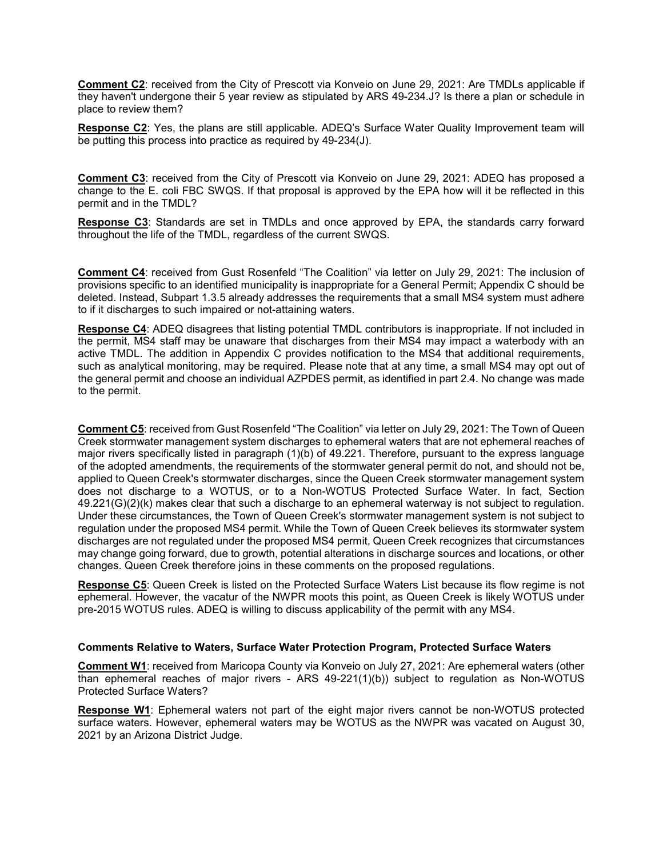**Comment C2**: received from the City of Prescott via Konveio on June 29, 2021: Are TMDLs applicable if they haven't undergone their 5 year review as stipulated by ARS 49-234.J? Is there a plan or schedule in place to review them?

**Response C2**: Yes, the plans are still applicable. ADEQ's Surface Water Quality Improvement team will be putting this process into practice as required by 49-234(J).

**Comment C3**: received from the City of Prescott via Konveio on June 29, 2021: ADEQ has proposed a change to the E. coli FBC SWQS. If that proposal is approved by the EPA how will it be reflected in this permit and in the TMDL?

**Response C3**: Standards are set in TMDLs and once approved by EPA, the standards carry forward throughout the life of the TMDL, regardless of the current SWQS.

**Comment C4**: received from Gust Rosenfeld "The Coalition" via letter on July 29, 2021: The inclusion of provisions specific to an identified municipality is inappropriate for a General Permit; Appendix C should be deleted. Instead, Subpart 1.3.5 already addresses the requirements that a small MS4 system must adhere to if it discharges to such impaired or not-attaining waters.

**Response C4**: ADEQ disagrees that listing potential TMDL contributors is inappropriate. If not included in the permit, MS4 staff may be unaware that discharges from their MS4 may impact a waterbody with an active TMDL. The addition in Appendix C provides notification to the MS4 that additional requirements, such as analytical monitoring, may be required. Please note that at any time, a small MS4 may opt out of the general permit and choose an individual AZPDES permit, as identified in part 2.4. No change was made to the permit.

**Comment C5**: received from Gust Rosenfeld "The Coalition" via letter on July 29, 2021: The Town of Queen Creek stormwater management system discharges to ephemeral waters that are not ephemeral reaches of major rivers specifically listed in paragraph (1)(b) of 49.221. Therefore, pursuant to the express language of the adopted amendments, the requirements of the stormwater general permit do not, and should not be, applied to Queen Creek's stormwater discharges, since the Queen Creek stormwater management system does not discharge to a WOTUS, or to a Non-WOTUS Protected Surface Water. In fact, Section 49.221(G)(2)(k) makes clear that such a discharge to an ephemeral waterway is not subject to regulation. Under these circumstances, the Town of Queen Creek's stormwater management system is not subject to regulation under the proposed MS4 permit. While the Town of Queen Creek believes its stormwater system discharges are not regulated under the proposed MS4 permit, Queen Creek recognizes that circumstances may change going forward, due to growth, potential alterations in discharge sources and locations, or other changes. Queen Creek therefore joins in these comments on the proposed regulations.

**Response C5**: Queen Creek is listed on the Protected Surface Waters List because its flow regime is not ephemeral. However, the vacatur of the NWPR moots this point, as Queen Creek is likely WOTUS under pre-2015 WOTUS rules. ADEQ is willing to discuss applicability of the permit with any MS4.

#### **Comments Relative to Waters, Surface Water Protection Program, Protected Surface Waters**

**Comment W1**: received from Maricopa County via Konveio on July 27, 2021: Are ephemeral waters (other than ephemeral reaches of major rivers - ARS 49-221(1)(b)) subject to regulation as Non-WOTUS Protected Surface Waters?

**Response W1**: Ephemeral waters not part of the eight major rivers cannot be non-WOTUS protected surface waters. However, ephemeral waters may be WOTUS as the NWPR was vacated on August 30, 2021 by an Arizona District Judge.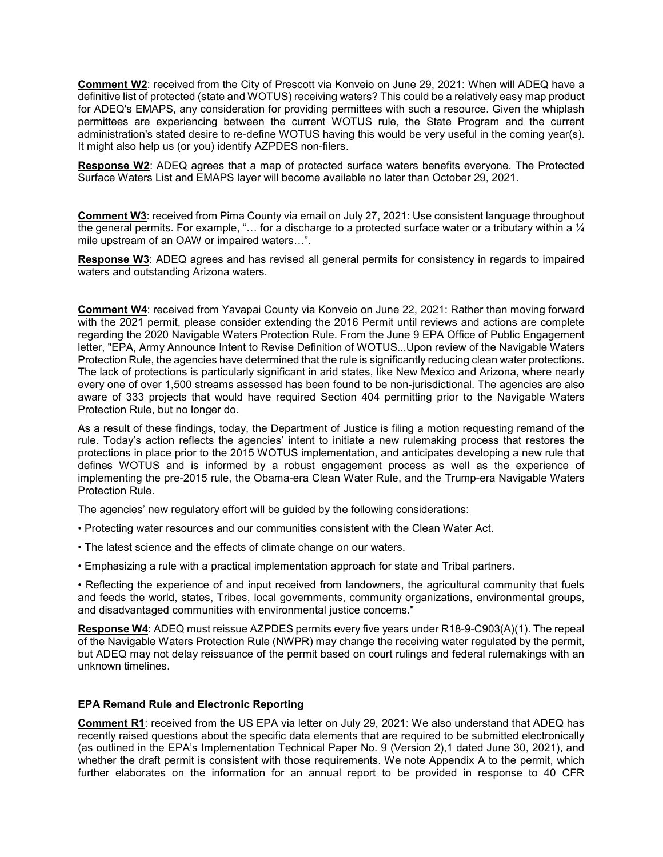**Comment W2**: received from the City of Prescott via Konveio on June 29, 2021: When will ADEQ have a definitive list of protected (state and WOTUS) receiving waters? This could be a relatively easy map product for ADEQ's EMAPS, any consideration for providing permittees with such a resource. Given the whiplash permittees are experiencing between the current WOTUS rule, the State Program and the current administration's stated desire to re-define WOTUS having this would be very useful in the coming year(s). It might also help us (or you) identify AZPDES non-filers.

**Response W2**: ADEQ agrees that a map of protected surface waters benefits everyone. The Protected Surface Waters List and EMAPS layer will become available no later than October 29, 2021.

**Comment W3**: received from Pima County via email on July 27, 2021: Use consistent language throughout the general permits. For example, "… for a discharge to a protected surface water or a tributary within a ¼ mile upstream of an OAW or impaired waters…".

**Response W3**: ADEQ agrees and has revised all general permits for consistency in regards to impaired waters and outstanding Arizona waters.

**Comment W4**: received from Yavapai County via Konveio on June 22, 2021: Rather than moving forward with the 2021 permit, please consider extending the 2016 Permit until reviews and actions are complete regarding the 2020 Navigable Waters Protection Rule. From the June 9 EPA Office of Public Engagement letter, "EPA, Army Announce Intent to Revise Definition of WOTUS...Upon review of the Navigable Waters Protection Rule, the agencies have determined that the rule is significantly reducing clean water protections. The lack of protections is particularly significant in arid states, like New Mexico and Arizona, where nearly every one of over 1,500 streams assessed has been found to be non-jurisdictional. The agencies are also aware of 333 projects that would have required Section 404 permitting prior to the Navigable Waters Protection Rule, but no longer do.

As a result of these findings, today, the Department of Justice is filing a motion requesting remand of the rule. Today's action reflects the agencies' intent to initiate a new rulemaking process that restores the protections in place prior to the 2015 WOTUS implementation, and anticipates developing a new rule that defines WOTUS and is informed by a robust engagement process as well as the experience of implementing the pre-2015 rule, the Obama-era Clean Water Rule, and the Trump-era Navigable Waters Protection Rule.

The agencies' new regulatory effort will be guided by the following considerations:

- Protecting water resources and our communities consistent with the Clean Water Act.
- The latest science and the effects of climate change on our waters.
- Emphasizing a rule with a practical implementation approach for state and Tribal partners.

• Reflecting the experience of and input received from landowners, the agricultural community that fuels and feeds the world, states, Tribes, local governments, community organizations, environmental groups, and disadvantaged communities with environmental justice concerns."

**Response W4**: ADEQ must reissue AZPDES permits every five years under R18-9-C903(A)(1). The repeal of the Navigable Waters Protection Rule (NWPR) may change the receiving water regulated by the permit, but ADEQ may not delay reissuance of the permit based on court rulings and federal rulemakings with an unknown timelines.

#### **EPA Remand Rule and Electronic Reporting**

**Comment R1**: received from the US EPA via letter on July 29, 2021: We also understand that ADEQ has recently raised questions about the specific data elements that are required to be submitted electronically (as outlined in the EPA's Implementation Technical Paper No. 9 (Version 2),1 dated June 30, 2021), and whether the draft permit is consistent with those requirements. We note Appendix A to the permit, which further elaborates on the information for an annual report to be provided in response to 40 CFR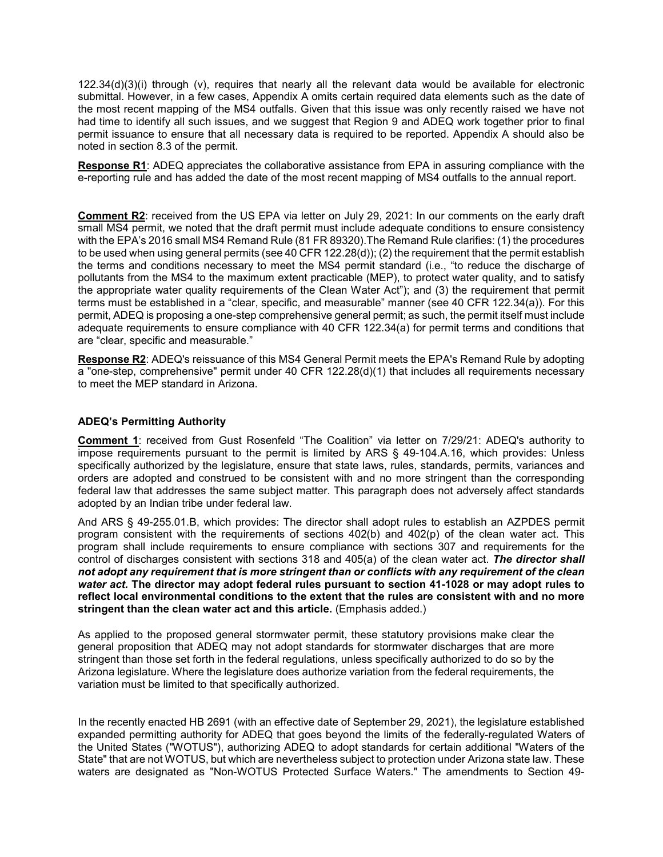122.34(d)(3)(i) through (v), requires that nearly all the relevant data would be available for electronic submittal. However, in a few cases, Appendix A omits certain required data elements such as the date of the most recent mapping of the MS4 outfalls. Given that this issue was only recently raised we have not had time to identify all such issues, and we suggest that Region 9 and ADEQ work together prior to final permit issuance to ensure that all necessary data is required to be reported. Appendix A should also be noted in section 8.3 of the permit.

**Response R1**: ADEQ appreciates the collaborative assistance from EPA in assuring compliance with the e-reporting rule and has added the date of the most recent mapping of MS4 outfalls to the annual report.

**Comment R2**: received from the US EPA via letter on July 29, 2021: In our comments on the early draft small MS4 permit, we noted that the draft permit must include adequate conditions to ensure consistency with the EPA's 2016 small MS4 Remand Rule (81 FR 89320).The Remand Rule clarifies: (1) the procedures to be used when using general permits (see 40 CFR 122.28(d)); (2) the requirement that the permit establish the terms and conditions necessary to meet the MS4 permit standard (i.e., "to reduce the discharge of pollutants from the MS4 to the maximum extent practicable (MEP), to protect water quality, and to satisfy the appropriate water quality requirements of the Clean Water Act"); and (3) the requirement that permit terms must be established in a "clear, specific, and measurable" manner (see 40 CFR 122.34(a)). For this permit, ADEQ is proposing a one-step comprehensive general permit; as such, the permit itself must include adequate requirements to ensure compliance with 40 CFR 122.34(a) for permit terms and conditions that are "clear, specific and measurable."

**Response R2**: ADEQ's reissuance of this MS4 General Permit meets the EPA's Remand Rule by adopting a "one-step, comprehensive" permit under 40 CFR 122.28(d)(1) that includes all requirements necessary to meet the MEP standard in Arizona.

#### **ADEQ's Permitting Authority**

**Comment 1**: received from Gust Rosenfeld "The Coalition" via letter on 7/29/21: ADEQ's authority to impose requirements pursuant to the permit is limited by ARS § 49-104.A.16, which provides: Unless specifically authorized by the legislature, ensure that state laws, rules, standards, permits, variances and orders are adopted and construed to be consistent with and no more stringent than the corresponding federal law that addresses the same subject matter. This paragraph does not adversely affect standards adopted by an Indian tribe under federal law.

And ARS § 49-255.01.B, which provides: The director shall adopt rules to establish an AZPDES permit program consistent with the requirements of sections 402(b) and 402(p) of the clean water act. This program shall include requirements to ensure compliance with sections 307 and requirements for the control of discharges consistent with sections 318 and 405(a) of the clean water act. *The director shall not adopt any requirement that is more stringent than or conflicts with any requirement of the clean water act.* **The director may adopt federal rules pursuant to section 41-1028 or may adopt rules to reflect local environmental conditions to the extent that the rules are consistent with and no more stringent than the clean water act and this article.** (Emphasis added.)

As applied to the proposed general stormwater permit, these statutory provisions make clear the general proposition that ADEQ may not adopt standards for stormwater discharges that are more stringent than those set forth in the federal regulations, unless specifically authorized to do so by the Arizona legislature. Where the legislature does authorize variation from the federal requirements, the variation must be limited to that specifically authorized.

In the recently enacted HB 2691 (with an effective date of September 29, 2021), the legislature established expanded permitting authority for ADEQ that goes beyond the limits of the federally-regulated Waters of the United States ("WOTUS"), authorizing ADEQ to adopt standards for certain additional "Waters of the State" that are not WOTUS, but which are nevertheless subject to protection under Arizona state law. These waters are designated as "Non-WOTUS Protected Surface Waters." The amendments to Section 49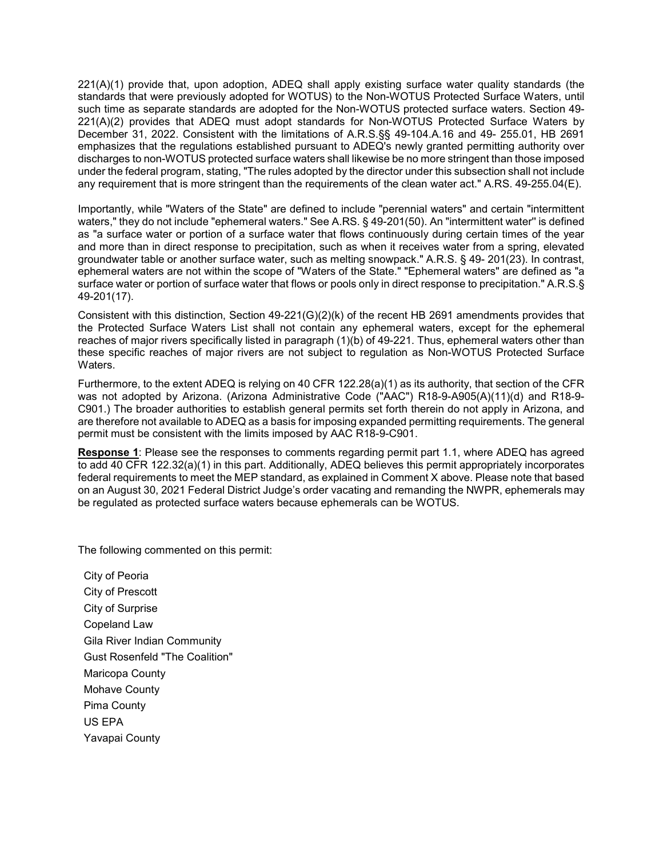221(A)(1) provide that, upon adoption, ADEQ shall apply existing surface water quality standards (the standards that were previously adopted for WOTUS) to the Non-WOTUS Protected Surface Waters, until such time as separate standards are adopted for the Non-WOTUS protected surface waters. Section 49- 221(A)(2) provides that ADEQ must adopt standards for Non-WOTUS Protected Surface Waters by December 31, 2022. Consistent with the limitations of A.R.S.§§ 49-104.A.16 and 49- 255.01, HB 2691 emphasizes that the regulations established pursuant to ADEQ's newly granted permitting authority over discharges to non-WOTUS protected surface waters shall likewise be no more stringent than those imposed under the federal program, stating, "The rules adopted by the director under this subsection shall not include any requirement that is more stringent than the requirements of the clean water act." A.RS. 49-255.04(E).

Importantly, while "Waters of the State" are defined to include "perennial waters" and certain "intermittent waters," they do not include "ephemeral waters." See A.RS. § 49-201(50). An "intermittent water'' is defined as "a surface water or portion of a surface water that flows continuously during certain times of the year and more than in direct response to precipitation, such as when it receives water from a spring, elevated groundwater table or another surface water, such as melting snowpack." A.R.S. § 49- 201(23). In contrast, ephemeral waters are not within the scope of "Waters of the State." "Ephemeral waters" are defined as "a surface water or portion of surface water that flows or pools only in direct response to precipitation." A.R.S.§ 49-201(17).

Consistent with this distinction, Section 49-221(G)(2)(k) of the recent HB 2691 amendments provides that the Protected Surface Waters List shall not contain any ephemeral waters, except for the ephemeral reaches of major rivers specifically listed in paragraph (1)(b) of 49-221. Thus, ephemeral waters other than these specific reaches of major rivers are not subject to regulation as Non-WOTUS Protected Surface Waters.

Furthermore, to the extent ADEQ is relying on 40 CFR 122.28(a)(1) as its authority, that section of the CFR was not adopted by Arizona. (Arizona Administrative Code ("AAC") R18-9-A905(A)(11)(d) and R18-9- C901.) The broader authorities to establish general permits set forth therein do not apply in Arizona, and are therefore not available to ADEQ as a basis for imposing expanded permitting requirements. The general permit must be consistent with the limits imposed by AAC R18-9-C901.

**Response 1**: Please see the responses to comments regarding permit part 1.1, where ADEQ has agreed to add 40 CFR 122.32(a)(1) in this part. Additionally, ADEQ believes this permit appropriately incorporates federal requirements to meet the MEP standard, as explained in Comment X above. Please note that based on an August 30, 2021 Federal District Judge's order vacating and remanding the NWPR, ephemerals may be regulated as protected surface waters because ephemerals can be WOTUS.

The following commented on this permit:

City of Peoria City of Prescott City of Surprise Copeland Law Gila River Indian Community Gust Rosenfeld "The Coalition" Maricopa County Mohave County Pima County US EPA Yavapai County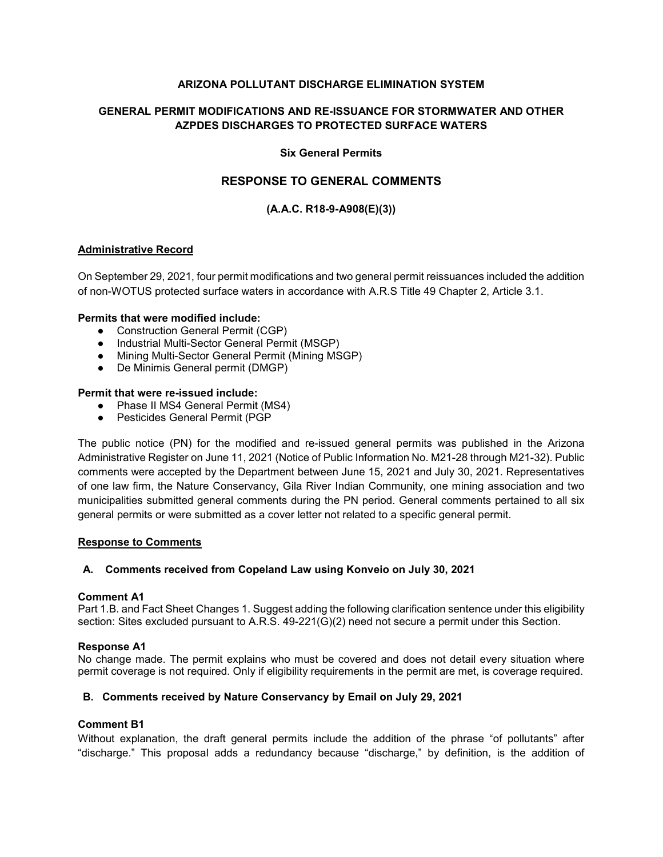### **ARIZONA POLLUTANT DISCHARGE ELIMINATION SYSTEM**

# **GENERAL PERMIT MODIFICATIONS AND RE-ISSUANCE FOR STORMWATER AND OTHER AZPDES DISCHARGES TO PROTECTED SURFACE WATERS**

#### **Six General Permits**

# **RESPONSE TO GENERAL COMMENTS**

# **(A.A.C. R18-9-A908(E)(3))**

#### **Administrative Record**

On September 29, 2021, four permit modifications and two general permit reissuances included the addition of non-WOTUS protected surface waters in accordance with A.R.S Title 49 Chapter 2, Article 3.1.

#### **Permits that were modified include:**

- Construction General Permit (CGP)
- Industrial Multi-Sector General Permit (MSGP)
- Mining Multi-Sector General Permit (Mining MSGP)
- De Minimis General permit (DMGP)

#### **Permit that were re-issued include:**

- Phase II MS4 General Permit (MS4)
- Pesticides General Permit (PGP

The public notice (PN) for the modified and re-issued general permits was published in the Arizona Administrative Register on June 11, 2021 (Notice of Public Information No. M21-28 through M21-32). Public comments were accepted by the Department between June 15, 2021 and July 30, 2021. Representatives of one law firm, the Nature Conservancy, Gila River Indian Community, one mining association and two municipalities submitted general comments during the PN period. General comments pertained to all six general permits or were submitted as a cover letter not related to a specific general permit.

#### **Response to Comments**

#### **A. Comments received from Copeland Law using Konveio on July 30, 2021**

#### **Comment A1**

Part 1.B. and Fact Sheet Changes 1. Suggest adding the following clarification sentence under this eligibility section: Sites excluded pursuant to A.R.S. 49-221(G)(2) need not secure a permit under this Section.

#### **Response A1**

No change made. The permit explains who must be covered and does not detail every situation where permit coverage is not required. Only if eligibility requirements in the permit are met, is coverage required.

#### **B. Comments received by Nature Conservancy by Email on July 29, 2021**

#### **Comment B1**

Without explanation, the draft general permits include the addition of the phrase "of pollutants" after "discharge." This proposal adds a redundancy because "discharge," by definition, is the addition of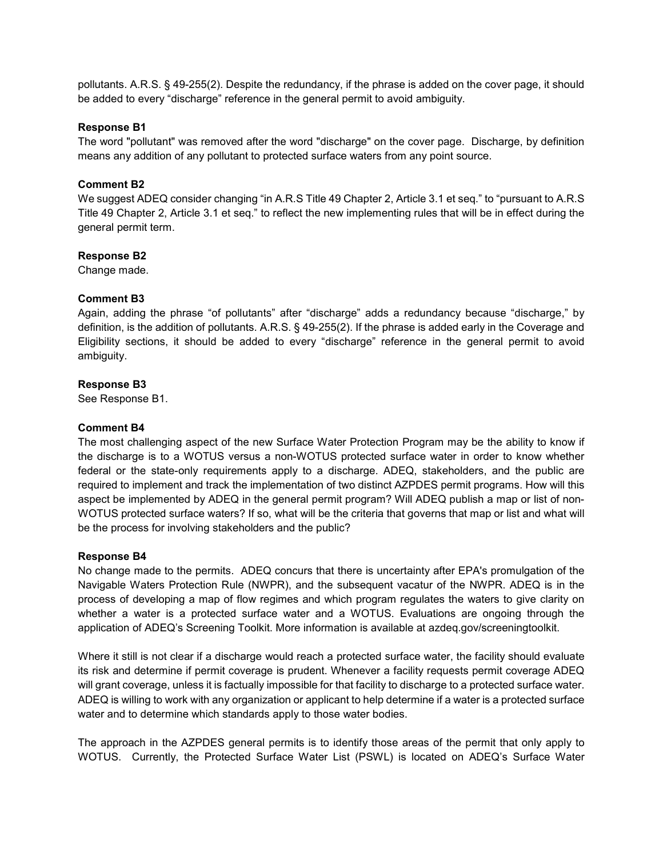pollutants. A.R.S. § 49-255(2). Despite the redundancy, if the phrase is added on the cover page, it should be added to every "discharge" reference in the general permit to avoid ambiguity.

#### **Response B1**

The word "pollutant" was removed after the word "discharge" on the cover page. Discharge, by definition means any addition of any pollutant to protected surface waters from any point source.

#### **Comment B2**

We suggest ADEQ consider changing "in A.R.S Title 49 Chapter 2, Article 3.1 et seq." to "pursuant to A.R.S Title 49 Chapter 2, Article 3.1 et seq." to reflect the new implementing rules that will be in effect during the general permit term.

#### **Response B2**

Change made.

#### **Comment B3**

Again, adding the phrase "of pollutants" after "discharge" adds a redundancy because "discharge," by definition, is the addition of pollutants. A.R.S. § 49-255(2). If the phrase is added early in the Coverage and Eligibility sections, it should be added to every "discharge" reference in the general permit to avoid ambiguity.

#### **Response B3**

See Response B1.

#### **Comment B4**

The most challenging aspect of the new Surface Water Protection Program may be the ability to know if the discharge is to a WOTUS versus a non-WOTUS protected surface water in order to know whether federal or the state-only requirements apply to a discharge. ADEQ, stakeholders, and the public are required to implement and track the implementation of two distinct AZPDES permit programs. How will this aspect be implemented by ADEQ in the general permit program? Will ADEQ publish a map or list of non-WOTUS protected surface waters? If so, what will be the criteria that governs that map or list and what will be the process for involving stakeholders and the public?

#### **Response B4**

No change made to the permits. ADEQ concurs that there is uncertainty after EPA's promulgation of the Navigable Waters Protection Rule (NWPR), and the subsequent vacatur of the NWPR. ADEQ is in the process of developing a map of flow regimes and which program regulates the waters to give clarity on whether a water is a protected surface water and a WOTUS. Evaluations are ongoing through the application of ADEQ's Screening Toolkit. More information is available at azdeq.gov/screeningtoolkit.

Where it still is not clear if a discharge would reach a protected surface water, the facility should evaluate its risk and determine if permit coverage is prudent. Whenever a facility requests permit coverage ADEQ will grant coverage, unless it is factually impossible for that facility to discharge to a protected surface water. ADEQ is willing to work with any organization or applicant to help determine if a water is a protected surface water and to determine which standards apply to those water bodies.

The approach in the AZPDES general permits is to identify those areas of the permit that only apply to WOTUS. Currently, the Protected Surface Water List (PSWL) is located on ADEQ's Surface Water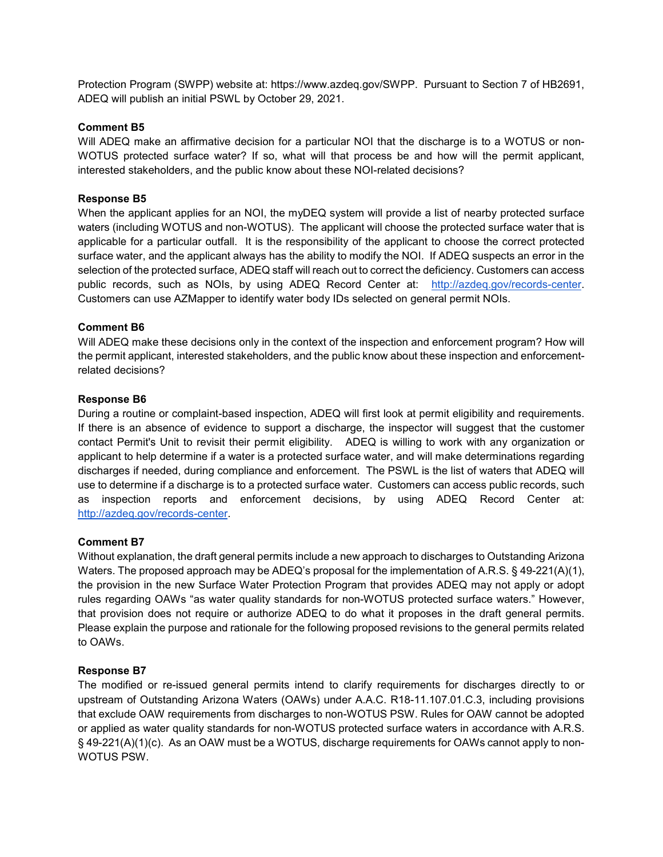Protection Program (SWPP) website at: https://www.azdeq.gov/SWPP. Pursuant to Section 7 of HB2691, ADEQ will publish an initial PSWL by October 29, 2021.

#### **Comment B5**

Will ADEQ make an affirmative decision for a particular NOI that the discharge is to a WOTUS or non-WOTUS protected surface water? If so, what will that process be and how will the permit applicant, interested stakeholders, and the public know about these NOI-related decisions?

#### **Response B5**

When the applicant applies for an NOI, the myDEQ system will provide a list of nearby protected surface waters (including WOTUS and non-WOTUS). The applicant will choose the protected surface water that is applicable for a particular outfall. It is the responsibility of the applicant to choose the correct protected surface water, and the applicant always has the ability to modify the NOI. If ADEQ suspects an error in the selection of the protected surface, ADEQ staff will reach out to correct the deficiency. Customers can access public records, such as NOIs, by using ADEQ Record Center at: [http://azdeq.gov/records-center.](http://azdeq.gov/records-center) Customers can use AZMapper to identify water body IDs selected on general permit NOIs.

## **Comment B6**

Will ADEQ make these decisions only in the context of the inspection and enforcement program? How will the permit applicant, interested stakeholders, and the public know about these inspection and enforcementrelated decisions?

#### **Response B6**

During a routine or complaint-based inspection, ADEQ will first look at permit eligibility and requirements. If there is an absence of evidence to support a discharge, the inspector will suggest that the customer contact Permit's Unit to revisit their permit eligibility. ADEQ is willing to work with any organization or applicant to help determine if a water is a protected surface water, and will make determinations regarding discharges if needed, during compliance and enforcement. The PSWL is the list of waters that ADEQ will use to determine if a discharge is to a protected surface water. Customers can access public records, such as inspection reports and enforcement decisions, by using ADEQ Record Center at: [http://azdeq.gov/records-center.](http://azdeq.gov/records-center)

#### **Comment B7**

Without explanation, the draft general permits include a new approach to discharges to Outstanding Arizona Waters. The proposed approach may be ADEQ's proposal for the implementation of A.R.S. § 49-221(A)(1), the provision in the new Surface Water Protection Program that provides ADEQ may not apply or adopt rules regarding OAWs "as water quality standards for non-WOTUS protected surface waters." However, that provision does not require or authorize ADEQ to do what it proposes in the draft general permits. Please explain the purpose and rationale for the following proposed revisions to the general permits related to OAWs.

## **Response B7**

The modified or re-issued general permits intend to clarify requirements for discharges directly to or upstream of Outstanding Arizona Waters (OAWs) under A.A.C. R18-11.107.01.C.3, including provisions that exclude OAW requirements from discharges to non-WOTUS PSW. Rules for OAW cannot be adopted or applied as water quality standards for non-WOTUS protected surface waters in accordance with A.R.S. § 49-221(A)(1)(c). As an OAW must be a WOTUS, discharge requirements for OAWs cannot apply to non-WOTUS PSW.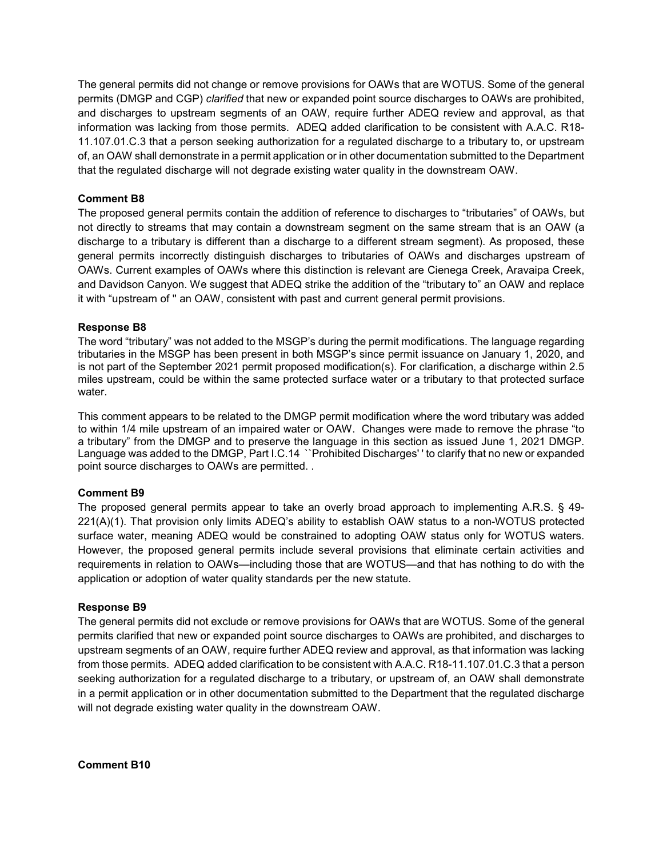The general permits did not change or remove provisions for OAWs that are WOTUS. Some of the general permits (DMGP and CGP) *clarified* that new or expanded point source discharges to OAWs are prohibited, and discharges to upstream segments of an OAW, require further ADEQ review and approval, as that information was lacking from those permits. ADEQ added clarification to be consistent with A.A.C. R18- 11.107.01.C.3 that a person seeking authorization for a regulated discharge to a tributary to, or upstream of, an OAW shall demonstrate in a permit application or in other documentation submitted to the Department that the regulated discharge will not degrade existing water quality in the downstream OAW.

# **Comment B8**

The proposed general permits contain the addition of reference to discharges to "tributaries" of OAWs, but not directly to streams that may contain a downstream segment on the same stream that is an OAW (a discharge to a tributary is different than a discharge to a different stream segment). As proposed, these general permits incorrectly distinguish discharges to tributaries of OAWs and discharges upstream of OAWs. Current examples of OAWs where this distinction is relevant are Cienega Creek, Aravaipa Creek, and Davidson Canyon. We suggest that ADEQ strike the addition of the "tributary to" an OAW and replace it with "upstream of '' an OAW, consistent with past and current general permit provisions.

## **Response B8**

The word "tributary" was not added to the MSGP's during the permit modifications. The language regarding tributaries in the MSGP has been present in both MSGP's since permit issuance on January 1, 2020, and is not part of the September 2021 permit proposed modification(s). For clarification, a discharge within 2.5 miles upstream, could be within the same protected surface water or a tributary to that protected surface water.

This comment appears to be related to the DMGP permit modification where the word tributary was added to within 1/4 mile upstream of an impaired water or OAW. Changes were made to remove the phrase "to a tributary" from the DMGP and to preserve the language in this section as issued June 1, 2021 DMGP. Language was added to the DMGP, Part I.C.14 ``Prohibited Discharges' ' to clarify that no new or expanded point source discharges to OAWs are permitted. .

## **Comment B9**

The proposed general permits appear to take an overly broad approach to implementing A.R.S. § 49- 221(A)(1). That provision only limits ADEQ's ability to establish OAW status to a non-WOTUS protected surface water, meaning ADEQ would be constrained to adopting OAW status only for WOTUS waters. However, the proposed general permits include several provisions that eliminate certain activities and requirements in relation to OAWs—including those that are WOTUS—and that has nothing to do with the application or adoption of water quality standards per the new statute.

#### **Response B9**

The general permits did not exclude or remove provisions for OAWs that are WOTUS. Some of the general permits clarified that new or expanded point source discharges to OAWs are prohibited, and discharges to upstream segments of an OAW, require further ADEQ review and approval, as that information was lacking from those permits. ADEQ added clarification to be consistent with A.A.C. R18-11.107.01.C.3 that a person seeking authorization for a regulated discharge to a tributary, or upstream of, an OAW shall demonstrate in a permit application or in other documentation submitted to the Department that the regulated discharge will not degrade existing water quality in the downstream OAW.

**Comment B10**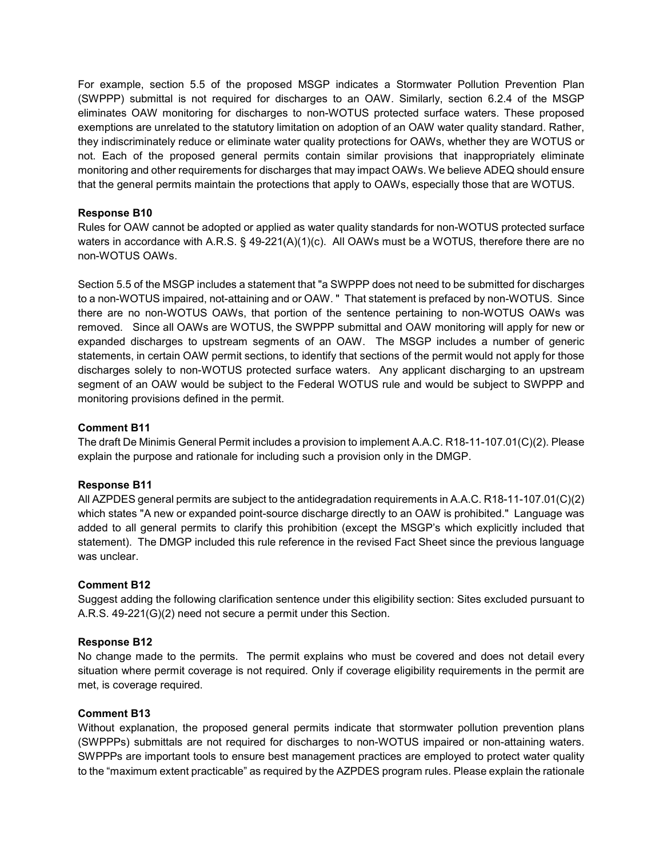For example, section 5.5 of the proposed MSGP indicates a Stormwater Pollution Prevention Plan (SWPPP) submittal is not required for discharges to an OAW. Similarly, section 6.2.4 of the MSGP eliminates OAW monitoring for discharges to non-WOTUS protected surface waters. These proposed exemptions are unrelated to the statutory limitation on adoption of an OAW water quality standard. Rather, they indiscriminately reduce or eliminate water quality protections for OAWs, whether they are WOTUS or not. Each of the proposed general permits contain similar provisions that inappropriately eliminate monitoring and other requirements for discharges that may impact OAWs. We believe ADEQ should ensure that the general permits maintain the protections that apply to OAWs, especially those that are WOTUS.

## **Response B10**

Rules for OAW cannot be adopted or applied as water quality standards for non-WOTUS protected surface waters in accordance with A.R.S. § 49-221(A)(1)(c). All OAWs must be a WOTUS, therefore there are no non-WOTUS OAWs.

Section 5.5 of the MSGP includes a statement that "a SWPPP does not need to be submitted for discharges to a non-WOTUS impaired, not-attaining and or OAW. " That statement is prefaced by non-WOTUS. Since there are no non-WOTUS OAWs, that portion of the sentence pertaining to non-WOTUS OAWs was removed. Since all OAWs are WOTUS, the SWPPP submittal and OAW monitoring will apply for new or expanded discharges to upstream segments of an OAW. The MSGP includes a number of generic statements, in certain OAW permit sections, to identify that sections of the permit would not apply for those discharges solely to non-WOTUS protected surface waters. Any applicant discharging to an upstream segment of an OAW would be subject to the Federal WOTUS rule and would be subject to SWPPP and monitoring provisions defined in the permit.

## **Comment B11**

The draft De Minimis General Permit includes a provision to implement A.A.C. R18-11-107.01(C)(2). Please explain the purpose and rationale for including such a provision only in the DMGP.

## **Response B11**

All AZPDES general permits are subject to the antidegradation requirements in A.A.C. R18-11-107.01(C)(2) which states "A new or expanded point-source discharge directly to an OAW is prohibited." Language was added to all general permits to clarify this prohibition (except the MSGP's which explicitly included that statement). The DMGP included this rule reference in the revised Fact Sheet since the previous language was unclear.

## **Comment B12**

Suggest adding the following clarification sentence under this eligibility section: Sites excluded pursuant to A.R.S. 49-221(G)(2) need not secure a permit under this Section.

## **Response B12**

No change made to the permits. The permit explains who must be covered and does not detail every situation where permit coverage is not required. Only if coverage eligibility requirements in the permit are met, is coverage required.

## **Comment B13**

Without explanation, the proposed general permits indicate that stormwater pollution prevention plans (SWPPPs) submittals are not required for discharges to non-WOTUS impaired or non-attaining waters. SWPPPs are important tools to ensure best management practices are employed to protect water quality to the "maximum extent practicable" as required by the AZPDES program rules. Please explain the rationale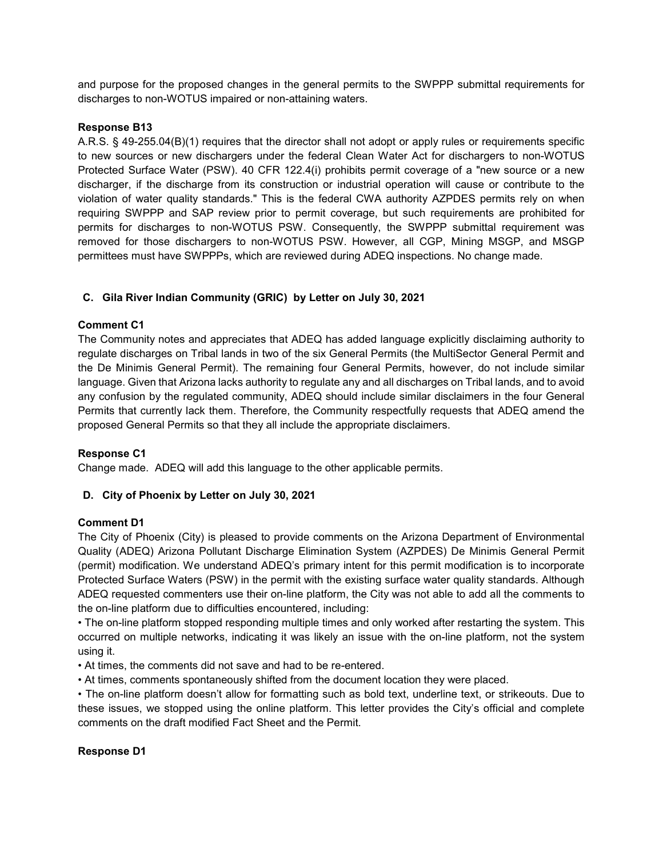and purpose for the proposed changes in the general permits to the SWPPP submittal requirements for discharges to non-WOTUS impaired or non-attaining waters.

#### **Response B13**

A.R.S. § 49-255.04(B)(1) requires that the director shall not adopt or apply rules or requirements specific to new sources or new dischargers under the federal Clean Water Act for dischargers to non-WOTUS Protected Surface Water (PSW). 40 CFR 122.4(i) prohibits permit coverage of a "new source or a new discharger, if the discharge from its construction or industrial operation will cause or contribute to the violation of water quality standards." This is the federal CWA authority AZPDES permits rely on when requiring SWPPP and SAP review prior to permit coverage, but such requirements are prohibited for permits for discharges to non-WOTUS PSW. Consequently, the SWPPP submittal requirement was removed for those dischargers to non-WOTUS PSW. However, all CGP, Mining MSGP, and MSGP permittees must have SWPPPs, which are reviewed during ADEQ inspections. No change made.

# **C. Gila River Indian Community (GRIC) by Letter on July 30, 2021**

#### **Comment C1**

The Community notes and appreciates that ADEQ has added language explicitly disclaiming authority to regulate discharges on Tribal lands in two of the six General Permits (the MultiSector General Permit and the De Minimis General Permit). The remaining four General Permits, however, do not include similar language. Given that Arizona lacks authority to regulate any and all discharges on Tribal lands, and to avoid any confusion by the regulated community, ADEQ should include similar disclaimers in the four General Permits that currently lack them. Therefore, the Community respectfully requests that ADEQ amend the proposed General Permits so that they all include the appropriate disclaimers.

## **Response C1**

Change made. ADEQ will add this language to the other applicable permits.

## **D. City of Phoenix by Letter on July 30, 2021**

#### **Comment D1**

The City of Phoenix (City) is pleased to provide comments on the Arizona Department of Environmental Quality (ADEQ) Arizona Pollutant Discharge Elimination System (AZPDES) De Minimis General Permit (permit) modification. We understand ADEQ's primary intent for this permit modification is to incorporate Protected Surface Waters (PSW) in the permit with the existing surface water quality standards. Although ADEQ requested commenters use their on-line platform, the City was not able to add all the comments to the on-line platform due to difficulties encountered, including:

• The on-line platform stopped responding multiple times and only worked after restarting the system. This occurred on multiple networks, indicating it was likely an issue with the on-line platform, not the system using it.

• At times, the comments did not save and had to be re-entered.

• At times, comments spontaneously shifted from the document location they were placed.

• The on-line platform doesn't allow for formatting such as bold text, underline text, or strikeouts. Due to these issues, we stopped using the online platform. This letter provides the City's official and complete comments on the draft modified Fact Sheet and the Permit.

#### **Response D1**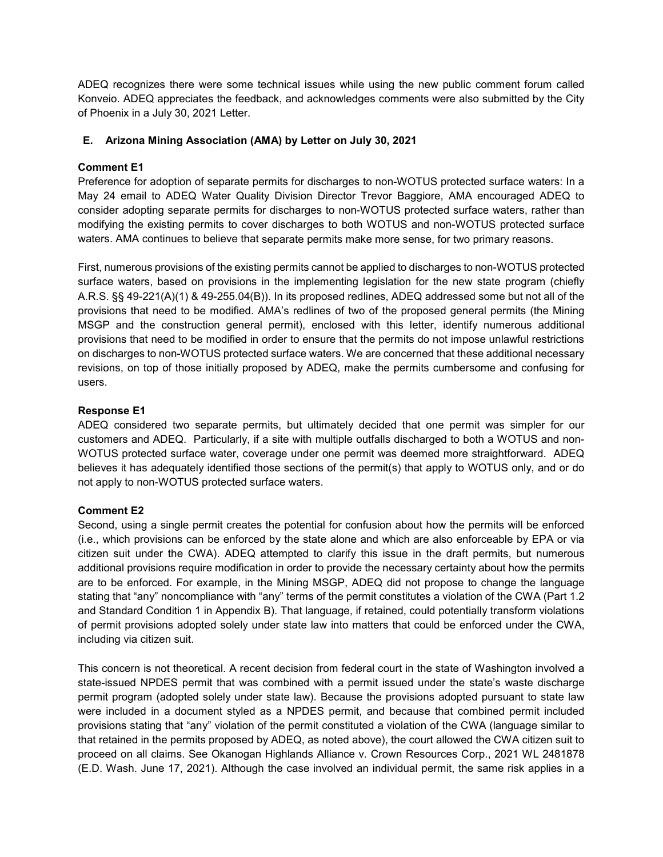ADEQ recognizes there were some technical issues while using the new public comment forum called Konveio. ADEQ appreciates the feedback, and acknowledges comments were also submitted by the City of Phoenix in a July 30, 2021 Letter.

# **E. Arizona Mining Association (AMA) by Letter on July 30, 2021**

# **Comment E1**

Preference for adoption of separate permits for discharges to non-WOTUS protected surface waters: In a May 24 email to ADEQ Water Quality Division Director Trevor Baggiore, AMA encouraged ADEQ to consider adopting separate permits for discharges to non-WOTUS protected surface waters, rather than modifying the existing permits to cover discharges to both WOTUS and non-WOTUS protected surface waters. AMA continues to believe that separate permits make more sense, for two primary reasons.

First, numerous provisions of the existing permits cannot be applied to discharges to non-WOTUS protected surface waters, based on provisions in the implementing legislation for the new state program (chiefly A.R.S. §§ 49-221(A)(1) & 49-255.04(B)). In its proposed redlines, ADEQ addressed some but not all of the provisions that need to be modified. AMA's redlines of two of the proposed general permits (the Mining MSGP and the construction general permit), enclosed with this letter, identify numerous additional provisions that need to be modified in order to ensure that the permits do not impose unlawful restrictions on discharges to non-WOTUS protected surface waters. We are concerned that these additional necessary revisions, on top of those initially proposed by ADEQ, make the permits cumbersome and confusing for users.

# **Response E1**

ADEQ considered two separate permits, but ultimately decided that one permit was simpler for our customers and ADEQ. Particularly, if a site with multiple outfalls discharged to both a WOTUS and non-WOTUS protected surface water, coverage under one permit was deemed more straightforward. ADEQ believes it has adequately identified those sections of the permit(s) that apply to WOTUS only, and or do not apply to non-WOTUS protected surface waters.

## **Comment E2**

Second, using a single permit creates the potential for confusion about how the permits will be enforced (i.e., which provisions can be enforced by the state alone and which are also enforceable by EPA or via citizen suit under the CWA). ADEQ attempted to clarify this issue in the draft permits, but numerous additional provisions require modification in order to provide the necessary certainty about how the permits are to be enforced. For example, in the Mining MSGP, ADEQ did not propose to change the language stating that "any" noncompliance with "any" terms of the permit constitutes a violation of the CWA (Part 1.2 and Standard Condition 1 in Appendix B). That language, if retained, could potentially transform violations of permit provisions adopted solely under state law into matters that could be enforced under the CWA, including via citizen suit.

This concern is not theoretical. A recent decision from federal court in the state of Washington involved a state-issued NPDES permit that was combined with a permit issued under the state's waste discharge permit program (adopted solely under state law). Because the provisions adopted pursuant to state law were included in a document styled as a NPDES permit, and because that combined permit included provisions stating that "any" violation of the permit constituted a violation of the CWA (language similar to that retained in the permits proposed by ADEQ, as noted above), the court allowed the CWA citizen suit to proceed on all claims. See Okanogan Highlands Alliance v. Crown Resources Corp., 2021 WL 2481878 (E.D. Wash. June 17, 2021). Although the case involved an individual permit, the same risk applies in a